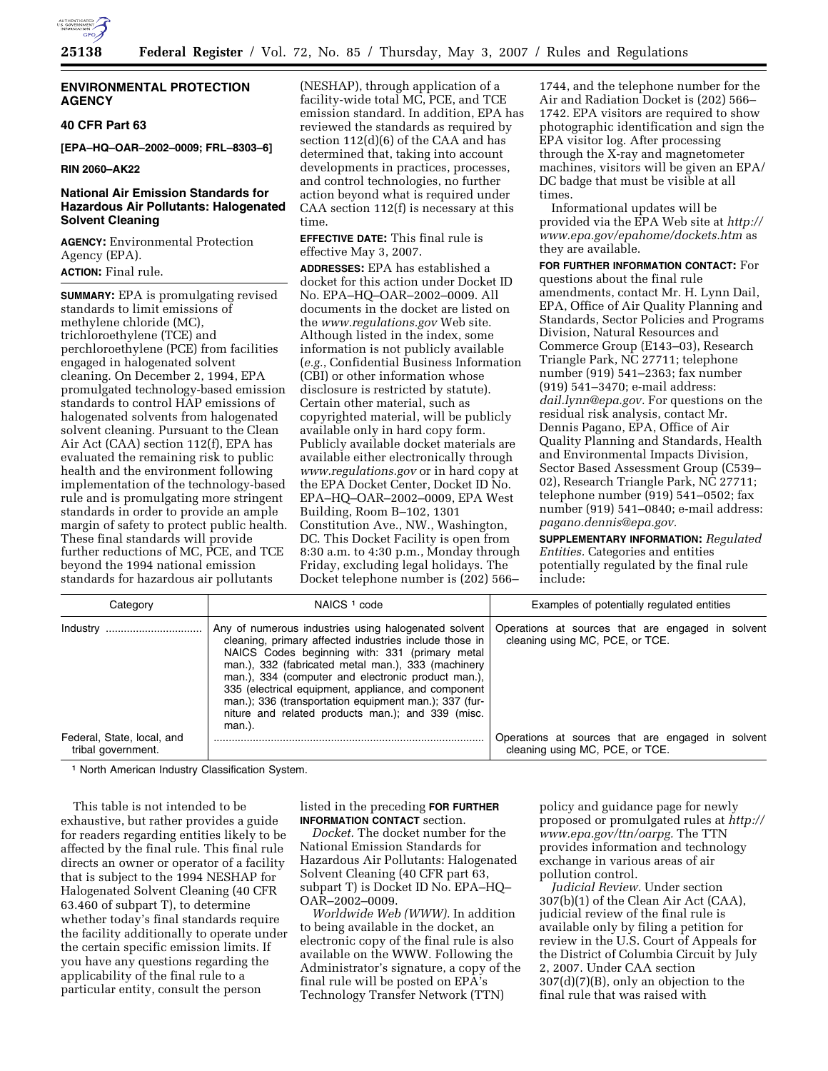

### **ENVIRONMENTAL PROTECTION AGENCY**

### **40 CFR Part 63**

**[EPA–HQ–OAR–2002–0009; FRL–8303–6]** 

**RIN 2060–AK22** 

## **National Air Emission Standards for Hazardous Air Pollutants: Halogenated Solvent Cleaning**

**AGENCY:** Environmental Protection Agency (EPA). **ACTION:** Final rule.

**SUMMARY:** EPA is promulgating revised standards to limit emissions of methylene chloride (MC), trichloroethylene (TCE) and perchloroethylene (PCE) from facilities engaged in halogenated solvent cleaning. On December 2, 1994, EPA promulgated technology-based emission standards to control HAP emissions of halogenated solvents from halogenated solvent cleaning. Pursuant to the Clean Air Act (CAA) section 112(f), EPA has evaluated the remaining risk to public health and the environment following implementation of the technology-based rule and is promulgating more stringent standards in order to provide an ample margin of safety to protect public health. These final standards will provide further reductions of MC, PCE, and TCE beyond the 1994 national emission standards for hazardous air pollutants

(NESHAP), through application of a facility-wide total MC, PCE, and TCE emission standard. In addition, EPA has reviewed the standards as required by section 112(d)(6) of the CAA and has determined that, taking into account developments in practices, processes, and control technologies, no further action beyond what is required under CAA section 112(f) is necessary at this time.

**EFFECTIVE DATE:** This final rule is effective May 3, 2007.

**ADDRESSES:** EPA has established a docket for this action under Docket ID No. EPA–HQ–OAR–2002–0009. All documents in the docket are listed on the *www.regulations.gov* Web site. Although listed in the index, some information is not publicly available (*e.g.*, Confidential Business Information (CBI) or other information whose disclosure is restricted by statute). Certain other material, such as copyrighted material, will be publicly available only in hard copy form. Publicly available docket materials are available either electronically through *www.regulations.gov* or in hard copy at the EPA Docket Center, Docket ID No. EPA–HQ–OAR–2002–0009, EPA West Building, Room B–102, 1301 Constitution Ave., NW., Washington, DC. This Docket Facility is open from 8:30 a.m. to 4:30 p.m., Monday through Friday, excluding legal holidays. The Docket telephone number is (202) 566–

1744, and the telephone number for the Air and Radiation Docket is (202) 566– 1742. EPA visitors are required to show photographic identification and sign the EPA visitor log. After processing through the X-ray and magnetometer machines, visitors will be given an EPA/ DC badge that must be visible at all times.

Informational updates will be provided via the EPA Web site at *http:// www.epa.gov/epahome/dockets.htm* as they are available.

**FOR FURTHER INFORMATION CONTACT:** For questions about the final rule amendments, contact Mr. H. Lynn Dail, EPA, Office of Air Quality Planning and Standards, Sector Policies and Programs Division, Natural Resources and Commerce Group (E143–03), Research Triangle Park, NC 27711; telephone number (919) 541–2363; fax number (919) 541–3470; e-mail address: *dail.lynn@epa.gov.* For questions on the residual risk analysis, contact Mr. Dennis Pagano, EPA, Office of Air Quality Planning and Standards, Health and Environmental Impacts Division, Sector Based Assessment Group (C539– 02), Research Triangle Park, NC 27711; telephone number (919) 541–0502; fax number (919) 541–0840; e-mail address: *pagano.dennis@epa.gov.* 

**SUPPLEMENTARY INFORMATION:** *Regulated Entities.* Categories and entities potentially regulated by the final rule include:

| Category                                         | NAICS <sup>1</sup> code                                                                                                                                                                                                                                                                                                                                                                                                                                     | Examples of potentially regulated entities                                           |  |  |
|--------------------------------------------------|-------------------------------------------------------------------------------------------------------------------------------------------------------------------------------------------------------------------------------------------------------------------------------------------------------------------------------------------------------------------------------------------------------------------------------------------------------------|--------------------------------------------------------------------------------------|--|--|
| Industry<br>                                     | Any of numerous industries using halogenated solvent<br>cleaning, primary affected industries include those in<br>NAICS Codes beginning with: 331 (primary metal<br>man.), 332 (fabricated metal man.), 333 (machinery<br>man.), 334 (computer and electronic product man.).<br>335 (electrical equipment, appliance, and component<br>man.); 336 (transportation equipment man.); 337 (fur-<br>niture and related products man.); and 339 (misc.<br>man.). | Operations at sources that are engaged in solvent<br>cleaning using MC, PCE, or TCE. |  |  |
| Federal, State, local, and<br>tribal government. |                                                                                                                                                                                                                                                                                                                                                                                                                                                             | Operations at sources that are engaged in solvent<br>cleaning using MC, PCE, or TCE. |  |  |

1 North American Industry Classification System.

This table is not intended to be exhaustive, but rather provides a guide for readers regarding entities likely to be affected by the final rule. This final rule directs an owner or operator of a facility that is subject to the 1994 NESHAP for Halogenated Solvent Cleaning (40 CFR 63.460 of subpart T), to determine whether today's final standards require the facility additionally to operate under the certain specific emission limits. If you have any questions regarding the applicability of the final rule to a particular entity, consult the person

listed in the preceding **FOR FURTHER INFORMATION CONTACT** section.

*Docket.* The docket number for the National Emission Standards for Hazardous Air Pollutants: Halogenated Solvent Cleaning (40 CFR part 63, subpart T) is Docket ID No. EPA–HQ– OAR–2002–0009.

*Worldwide Web (WWW).* In addition to being available in the docket, an electronic copy of the final rule is also available on the WWW. Following the Administrator's signature, a copy of the final rule will be posted on EPA's Technology Transfer Network (TTN)

policy and guidance page for newly proposed or promulgated rules at *http:// www.epa.gov/ttn/oarpg.* The TTN provides information and technology exchange in various areas of air pollution control.

*Judicial Review.* Under section 307(b)(1) of the Clean Air Act (CAA), judicial review of the final rule is available only by filing a petition for review in the U.S. Court of Appeals for the District of Columbia Circuit by July 2, 2007. Under CAA section 307(d)(7)(B), only an objection to the final rule that was raised with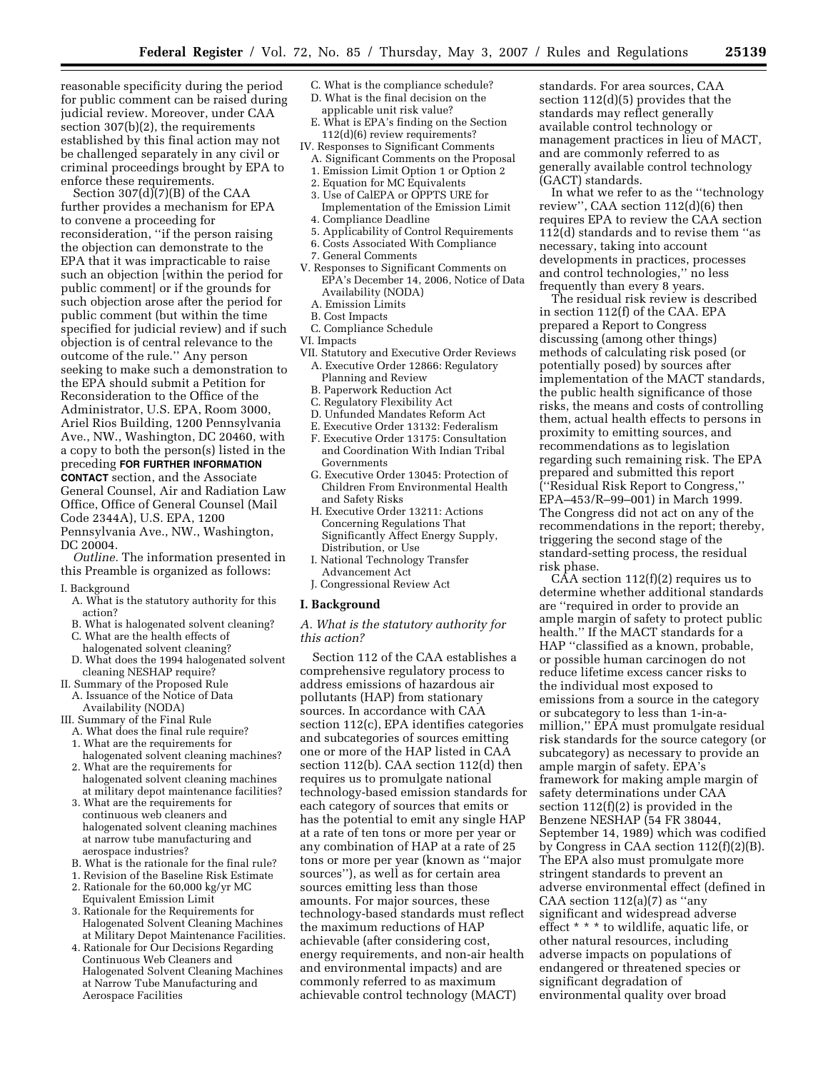reasonable specificity during the period for public comment can be raised during judicial review. Moreover, under CAA section 307(b)(2), the requirements established by this final action may not be challenged separately in any civil or criminal proceedings brought by EPA to enforce these requirements.

Section 307(d)(7)(B) of the CAA further provides a mechanism for EPA to convene a proceeding for reconsideration, ''if the person raising the objection can demonstrate to the EPA that it was impracticable to raise such an objection [within the period for public comment] or if the grounds for such objection arose after the period for public comment (but within the time specified for judicial review) and if such objection is of central relevance to the outcome of the rule.'' Any person seeking to make such a demonstration to the EPA should submit a Petition for Reconsideration to the Office of the Administrator, U.S. EPA, Room 3000, Ariel Rios Building, 1200 Pennsylvania Ave., NW., Washington, DC 20460, with a copy to both the person(s) listed in the preceding **FOR FURTHER INFORMATION CONTACT** section, and the Associate General Counsel, Air and Radiation Law Office, Office of General Counsel (Mail Code 2344A), U.S. EPA, 1200

Pennsylvania Ave., NW., Washington, DC 20004.

*Outline.* The information presented in this Preamble is organized as follows:

- I. Background
	- A. What is the statutory authority for this action?
	- B. What is halogenated solvent cleaning?
	- C. What are the health effects of
	- halogenated solvent cleaning? D. What does the 1994 halogenated solvent cleaning NESHAP require?
- II. Summary of the Proposed Rule
	- A. Issuance of the Notice of Data Availability (NODA)
- III. Summary of the Final Rule
- A. What does the final rule require?
- 1. What are the requirements for
- halogenated solvent cleaning machines? 2. What are the requirements for
- halogenated solvent cleaning machines at military depot maintenance facilities?
- 3. What are the requirements for continuous web cleaners and halogenated solvent cleaning machines at narrow tube manufacturing and aerospace industries?
- B. What is the rationale for the final rule?
- 1. Revision of the Baseline Risk Estimate
- 2. Rationale for the 60,000 kg/yr MC Equivalent Emission Limit
- 3. Rationale for the Requirements for Halogenated Solvent Cleaning Machines at Military Depot Maintenance Facilities.
- 4. Rationale for Our Decisions Regarding Continuous Web Cleaners and Halogenated Solvent Cleaning Machines at Narrow Tube Manufacturing and Aerospace Facilities
- C. What is the compliance schedule?
- D. What is the final decision on the applicable unit risk value?
- E. What is EPA's finding on the Section 112(d)(6) review requirements?
- IV. Responses to Significant Comments A. Significant Comments on the Proposal
- 1. Emission Limit Option 1 or Option 2
- 2. Equation for MC Equivalents
- 3. Use of CalEPA or OPPTS URE for Implementation of the Emission Limit 4. Compliance Deadline
- 5. Applicability of Control Requirements
- 6. Costs Associated With Compliance
- 7. General Comments
- V. Responses to Significant Comments on EPA's December 14, 2006, Notice of Data Availability (NODA)
	- A. Emission Limits
- B. Cost Impacts
- C. Compliance Schedule
- VI. Impacts
- VII. Statutory and Executive Order Reviews A. Executive Order 12866: Regulatory Planning and Review
	- B. Paperwork Reduction Act
	- C. Regulatory Flexibility Act
	- D. Unfunded Mandates Reform Act
	- E. Executive Order 13132: Federalism
	- F. Executive Order 13175: Consultation and Coordination With Indian Tribal
	- Governments G. Executive Order 13045: Protection of Children From Environmental Health and Safety Risks
	- H. Executive Order 13211: Actions Concerning Regulations That Significantly Affect Energy Supply, Distribution, or Use
	- I. National Technology Transfer Advancement Act
	- J. Congressional Review Act

#### **I. Background**

*A. What is the statutory authority for this action?* 

Section 112 of the CAA establishes a comprehensive regulatory process to address emissions of hazardous air pollutants (HAP) from stationary sources. In accordance with CAA section 112(c), EPA identifies categories and subcategories of sources emitting one or more of the HAP listed in CAA section 112(b). CAA section 112(d) then requires us to promulgate national technology-based emission standards for each category of sources that emits or has the potential to emit any single HAP at a rate of ten tons or more per year or any combination of HAP at a rate of 25 tons or more per year (known as ''major sources''), as well as for certain area sources emitting less than those amounts. For major sources, these technology-based standards must reflect the maximum reductions of HAP achievable (after considering cost, energy requirements, and non-air health and environmental impacts) and are commonly referred to as maximum achievable control technology (MACT)

standards. For area sources, CAA section 112(d)(5) provides that the standards may reflect generally available control technology or management practices in lieu of MACT, and are commonly referred to as generally available control technology (GACT) standards.

In what we refer to as the ''technology review'', CAA section 112(d)(6) then requires EPA to review the CAA section 112(d) standards and to revise them ''as necessary, taking into account developments in practices, processes and control technologies,'' no less frequently than every 8 years.

The residual risk review is described in section 112(f) of the CAA. EPA prepared a Report to Congress discussing (among other things) methods of calculating risk posed (or potentially posed) by sources after implementation of the MACT standards, the public health significance of those risks, the means and costs of controlling them, actual health effects to persons in proximity to emitting sources, and recommendations as to legislation regarding such remaining risk. The EPA prepared and submitted this report (''Residual Risk Report to Congress,'' EPA–453/R–99–001) in March 1999. The Congress did not act on any of the recommendations in the report; thereby, triggering the second stage of the standard-setting process, the residual risk phase.

 $C\overline{A}A$  section 112(f)(2) requires us to determine whether additional standards are ''required in order to provide an ample margin of safety to protect public health.'' If the MACT standards for a HAP ''classified as a known, probable, or possible human carcinogen do not reduce lifetime excess cancer risks to the individual most exposed to emissions from a source in the category or subcategory to less than 1-in-amillion,'' EPA must promulgate residual risk standards for the source category (or subcategory) as necessary to provide an ample margin of safety. EPA's framework for making ample margin of safety determinations under CAA section 112(f)(2) is provided in the Benzene NESHAP (54 FR 38044, September 14, 1989) which was codified by Congress in CAA section 112(f)(2)(B). The EPA also must promulgate more stringent standards to prevent an adverse environmental effect (defined in CAA section  $112(a)(7)$  as "any significant and widespread adverse effect \* \* \* to wildlife, aquatic life, or other natural resources, including adverse impacts on populations of endangered or threatened species or significant degradation of environmental quality over broad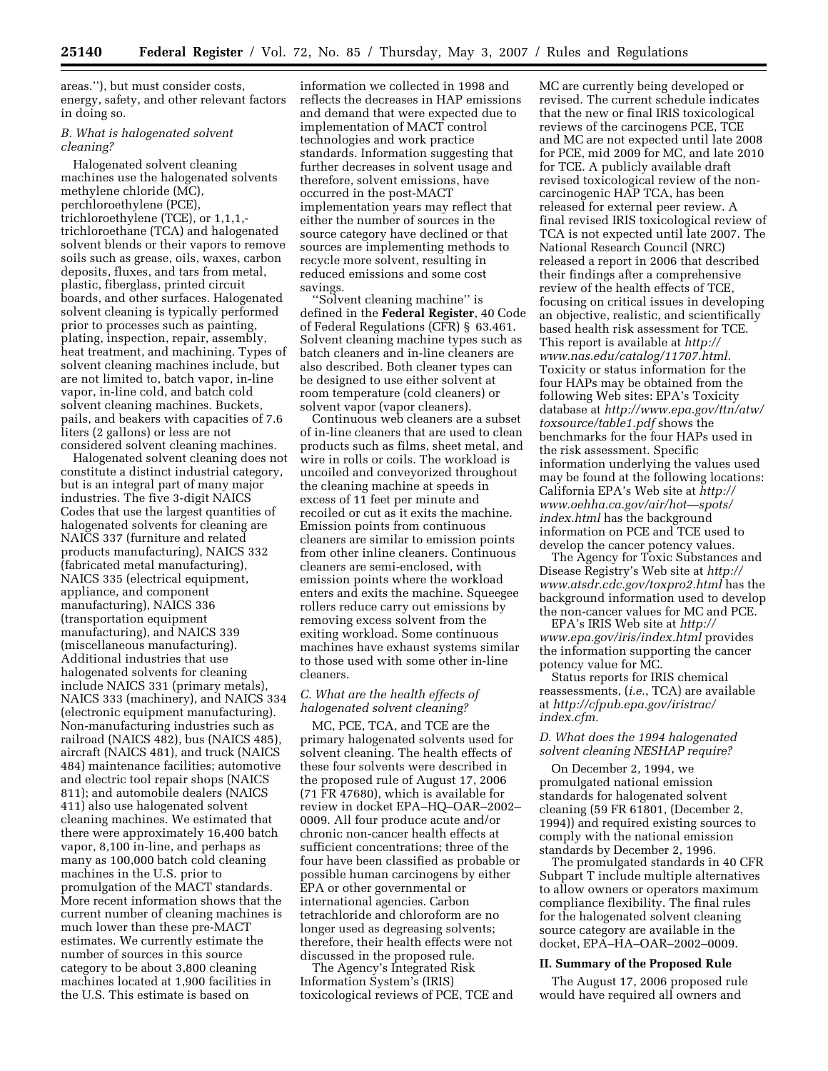areas.''), but must consider costs, energy, safety, and other relevant factors in doing so.

### *B. What is halogenated solvent cleaning?*

Halogenated solvent cleaning machines use the halogenated solvents methylene chloride (MC), perchloroethylene (PCE), trichloroethylene (TCE), or 1,1,1, trichloroethane (TCA) and halogenated solvent blends or their vapors to remove soils such as grease, oils, waxes, carbon deposits, fluxes, and tars from metal, plastic, fiberglass, printed circuit boards, and other surfaces. Halogenated solvent cleaning is typically performed prior to processes such as painting, plating, inspection, repair, assembly, heat treatment, and machining. Types of solvent cleaning machines include, but are not limited to, batch vapor, in-line vapor, in-line cold, and batch cold solvent cleaning machines. Buckets, pails, and beakers with capacities of 7.6 liters (2 gallons) or less are not considered solvent cleaning machines.

Halogenated solvent cleaning does not constitute a distinct industrial category, but is an integral part of many major industries. The five 3-digit NAICS Codes that use the largest quantities of halogenated solvents for cleaning are NAICS 337 (furniture and related products manufacturing), NAICS 332 (fabricated metal manufacturing), NAICS 335 (electrical equipment, appliance, and component manufacturing), NAICS 336 (transportation equipment manufacturing), and NAICS 339 (miscellaneous manufacturing). Additional industries that use halogenated solvents for cleaning include NAICS 331 (primary metals), NAICS 333 (machinery), and NAICS 334 (electronic equipment manufacturing). Non-manufacturing industries such as railroad (NAICS 482), bus (NAICS 485), aircraft (NAICS 481), and truck (NAICS 484) maintenance facilities; automotive and electric tool repair shops (NAICS 811); and automobile dealers (NAICS 411) also use halogenated solvent cleaning machines. We estimated that there were approximately 16,400 batch vapor, 8,100 in-line, and perhaps as many as 100,000 batch cold cleaning machines in the U.S. prior to promulgation of the MACT standards. More recent information shows that the current number of cleaning machines is much lower than these pre-MACT estimates. We currently estimate the number of sources in this source category to be about 3,800 cleaning machines located at 1,900 facilities in the U.S. This estimate is based on

information we collected in 1998 and reflects the decreases in HAP emissions and demand that were expected due to implementation of MACT control technologies and work practice standards. Information suggesting that further decreases in solvent usage and therefore, solvent emissions, have occurred in the post-MACT implementation years may reflect that either the number of sources in the source category have declined or that sources are implementing methods to recycle more solvent, resulting in reduced emissions and some cost savings.

''Solvent cleaning machine'' is defined in the **Federal Register**, 40 Code of Federal Regulations (CFR) § 63.461. Solvent cleaning machine types such as batch cleaners and in-line cleaners are also described. Both cleaner types can be designed to use either solvent at room temperature (cold cleaners) or solvent vapor (vapor cleaners).

Continuous web cleaners are a subset of in-line cleaners that are used to clean products such as films, sheet metal, and wire in rolls or coils. The workload is uncoiled and conveyorized throughout the cleaning machine at speeds in excess of 11 feet per minute and recoiled or cut as it exits the machine. Emission points from continuous cleaners are similar to emission points from other inline cleaners. Continuous cleaners are semi-enclosed, with emission points where the workload enters and exits the machine. Squeegee rollers reduce carry out emissions by removing excess solvent from the exiting workload. Some continuous machines have exhaust systems similar to those used with some other in-line cleaners.

#### *C. What are the health effects of halogenated solvent cleaning?*

MC, PCE, TCA, and TCE are the primary halogenated solvents used for solvent cleaning. The health effects of these four solvents were described in the proposed rule of August 17, 2006 (71 FR 47680), which is available for review in docket EPA–HQ–OAR–2002– 0009. All four produce acute and/or chronic non-cancer health effects at sufficient concentrations; three of the four have been classified as probable or possible human carcinogens by either EPA or other governmental or international agencies. Carbon tetrachloride and chloroform are no longer used as degreasing solvents; therefore, their health effects were not discussed in the proposed rule.

The Agency's Integrated Risk Information System's (IRIS) toxicological reviews of PCE, TCE and

MC are currently being developed or revised. The current schedule indicates that the new or final IRIS toxicological reviews of the carcinogens PCE, TCE and MC are not expected until late 2008 for PCE, mid 2009 for MC, and late 2010 for TCE. A publicly available draft revised toxicological review of the noncarcinogenic HAP TCA, has been released for external peer review. A final revised IRIS toxicological review of TCA is not expected until late 2007. The National Research Council (NRC) released a report in 2006 that described their findings after a comprehensive review of the health effects of TCE, focusing on critical issues in developing an objective, realistic, and scientifically based health risk assessment for TCE. This report is available at *http:// www.nas.edu/catalog/11707.html.*  Toxicity or status information for the four HAPs may be obtained from the following Web sites: EPA's Toxicity database at *http://www.epa.gov/ttn/atw/ toxsource/table1.pdf* shows the benchmarks for the four HAPs used in the risk assessment. Specific information underlying the values used may be found at the following locations: California EPA's Web site at *http:// www.oehha.ca.gov/air/hot—spots/ index.html* has the background information on PCE and TCE used to develop the cancer potency values.

The Agency for Toxic Substances and Disease Registry's Web site at *http:// www.atsdr.cdc.gov/toxpro2.html* has the background information used to develop the non-cancer values for MC and PCE.

EPA's IRIS Web site at *http:// www.epa.gov/iris/index.html* provides the information supporting the cancer potency value for MC.

Status reports for IRIS chemical reassessments, (*i.e.*, TCA) are available at *http://cfpub.epa.gov/iristrac/ index.cfm.* 

## *D. What does the 1994 halogenated solvent cleaning NESHAP require?*

On December 2, 1994, we promulgated national emission standards for halogenated solvent cleaning (59 FR 61801, (December 2, 1994)) and required existing sources to comply with the national emission standards by December 2, 1996.

The promulgated standards in 40 CFR Subpart T include multiple alternatives to allow owners or operators maximum compliance flexibility. The final rules for the halogenated solvent cleaning source category are available in the docket, EPA–HA–OAR–2002–0009.

#### **II. Summary of the Proposed Rule**

The August 17, 2006 proposed rule would have required all owners and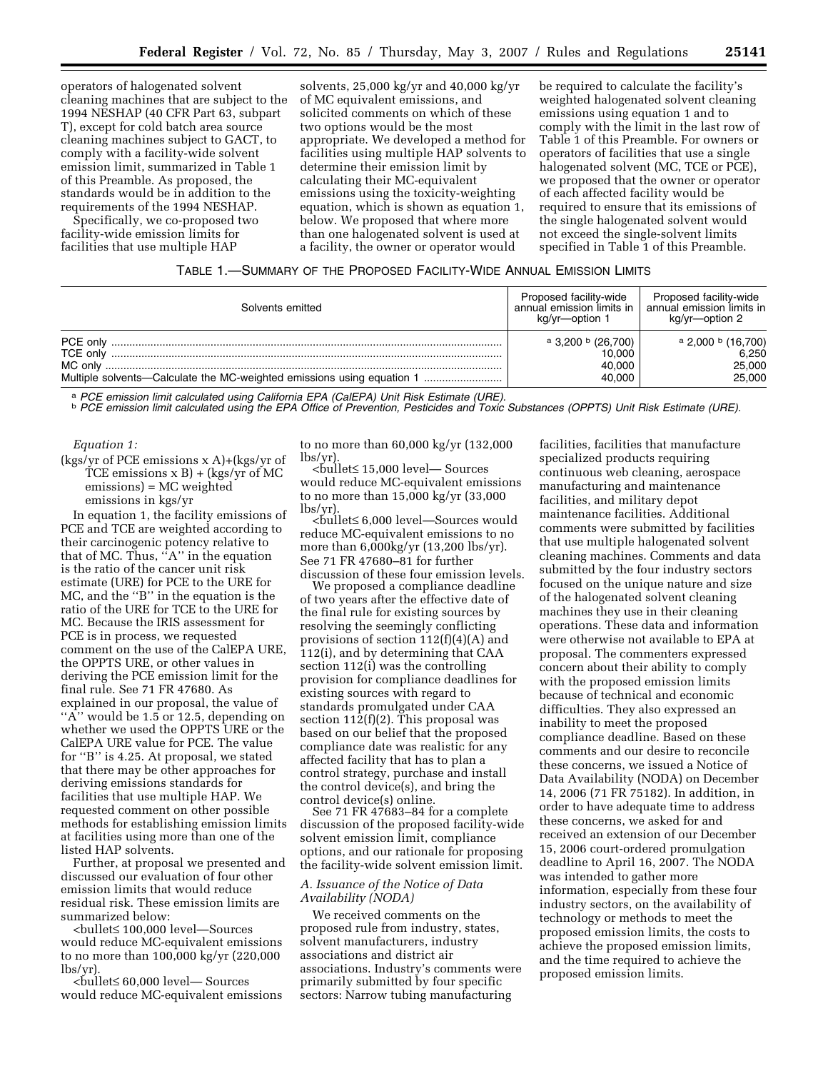operators of halogenated solvent cleaning machines that are subject to the 1994 NESHAP (40 CFR Part 63, subpart T), except for cold batch area source cleaning machines subject to GACT, to comply with a facility-wide solvent emission limit, summarized in Table 1 of this Preamble. As proposed, the standards would be in addition to the requirements of the 1994 NESHAP.

Specifically, we co-proposed two facility-wide emission limits for facilities that use multiple HAP

solvents, 25,000 kg/yr and 40,000 kg/yr of MC equivalent emissions, and solicited comments on which of these two options would be the most appropriate. We developed a method for facilities using multiple HAP solvents to determine their emission limit by calculating their MC-equivalent emissions using the toxicity-weighting equation, which is shown as equation 1, below. We proposed that where more than one halogenated solvent is used at a facility, the owner or operator would

be required to calculate the facility's weighted halogenated solvent cleaning emissions using equation 1 and to comply with the limit in the last row of Table 1 of this Preamble. For owners or operators of facilities that use a single halogenated solvent (MC, TCE or PCE), we proposed that the owner or operator of each affected facility would be required to ensure that its emissions of the single halogenated solvent would not exceed the single-solvent limits specified in Table 1 of this Preamble.

### TABLE 1.—SUMMARY OF THE PROPOSED FACILITY-WIDE ANNUAL EMISSION LIMITS

| Solvents emitted                                                                  | Proposed facility-wide<br>annual emission limits in<br>kg/yr—option 1 | Proposed facility-wide<br>annual emission limits in<br>kg/yr—option 2 |
|-----------------------------------------------------------------------------------|-----------------------------------------------------------------------|-----------------------------------------------------------------------|
| PCE only<br>TCE only                                                              | $a$ 3,200 $b$ (26,700)<br>10.000                                      | $^{\circ}$ 2,000 $^{\circ}$ (16,700)<br>6.250                         |
| MC only<br>Multiple solvents—Calculate the MC-weighted emissions using equation 1 | 40.000<br>40.000                                                      | 25,000<br>25,000                                                      |

a PCE emission limit calculated using California EPA (CalEPA) Unit Risk Estimate (URE).<br><sup>b</sup> PCE emission limit calculated using the EPA Office of Prevention, Pesticides and Toxic Substances (OPPTS) Unit Risk Estimate (URE)

#### *Equation 1:*

(kgs/yr of PCE emissions x A)+(kgs/yr of TCE emissions  $x B$ ) + (kgs/yr of MC emissions) = MC weighted emissions in kgs/yr

In equation 1, the facility emissions of PCE and TCE are weighted according to their carcinogenic potency relative to that of MC. Thus, ''A'' in the equation is the ratio of the cancer unit risk estimate (URE) for PCE to the URE for MC, and the ''B'' in the equation is the ratio of the URE for TCE to the URE for MC. Because the IRIS assessment for PCE is in process, we requested comment on the use of the CalEPA URE, the OPPTS URE, or other values in deriving the PCE emission limit for the final rule. See 71 FR 47680. As explained in our proposal, the value of " $\overrightarrow{A}$ " would be 1.5 or 12.5, depending on whether we used the OPPTS URE or the CalEPA URE value for PCE. The value for ''B'' is 4.25. At proposal, we stated that there may be other approaches for deriving emissions standards for facilities that use multiple HAP. We requested comment on other possible methods for establishing emission limits at facilities using more than one of the listed HAP solvents.

Further, at proposal we presented and discussed our evaluation of four other emission limits that would reduce residual risk. These emission limits are summarized below:

<bullet≤ 100,000 level—Sources would reduce MC-equivalent emissions to no more than 100,000 kg/yr (220,000 lbs/yr).

<bullet≤ 60,000 level— Sources would reduce MC-equivalent emissions to no more than 60,000 kg/yr (132,000 lbs/yr). <bullet<sup>≤</sup>15,000 level— Sources

would reduce MC-equivalent emissions to no more than 15,000 kg/yr (33,000

lbs/yr). <bullet<sup>≤</sup>6,000 level—Sources would reduce MC-equivalent emissions to no more than 6,000kg/yr (13,200 lbs/yr). See 71 FR 47680–81 for further discussion of these four emission levels.

We proposed a compliance deadline of two years after the effective date of the final rule for existing sources by resolving the seemingly conflicting provisions of section 112(f)(4)(A) and 112(i), and by determining that CAA section 112(i) was the controlling provision for compliance deadlines for existing sources with regard to standards promulgated under CAA section  $112(f)(2)$ . This proposal was based on our belief that the proposed compliance date was realistic for any affected facility that has to plan a control strategy, purchase and install the control device(s), and bring the control device(s) online.

See 71 FR 47683–84 for a complete discussion of the proposed facility-wide solvent emission limit, compliance options, and our rationale for proposing the facility-wide solvent emission limit.

## *A. Issuance of the Notice of Data Availability (NODA)*

We received comments on the proposed rule from industry, states, solvent manufacturers, industry associations and district air associations. Industry's comments were primarily submitted by four specific sectors: Narrow tubing manufacturing

facilities, facilities that manufacture specialized products requiring continuous web cleaning, aerospace manufacturing and maintenance facilities, and military depot maintenance facilities. Additional comments were submitted by facilities that use multiple halogenated solvent cleaning machines. Comments and data submitted by the four industry sectors focused on the unique nature and size of the halogenated solvent cleaning machines they use in their cleaning operations. These data and information were otherwise not available to EPA at proposal. The commenters expressed concern about their ability to comply with the proposed emission limits because of technical and economic difficulties. They also expressed an inability to meet the proposed compliance deadline. Based on these comments and our desire to reconcile these concerns, we issued a Notice of Data Availability (NODA) on December 14, 2006 (71 FR 75182). In addition, in order to have adequate time to address these concerns, we asked for and received an extension of our December 15, 2006 court-ordered promulgation deadline to April 16, 2007. The NODA was intended to gather more information, especially from these four industry sectors, on the availability of technology or methods to meet the proposed emission limits, the costs to achieve the proposed emission limits, and the time required to achieve the proposed emission limits.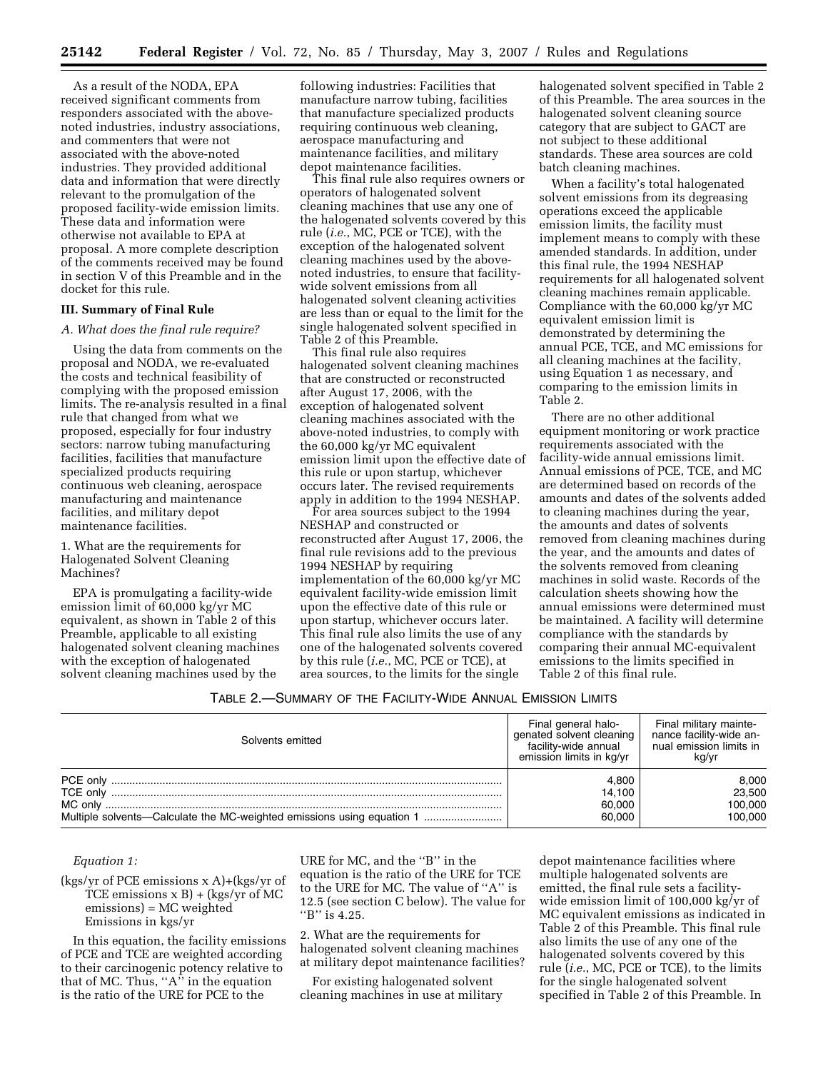As a result of the NODA, EPA received significant comments from responders associated with the abovenoted industries, industry associations, and commenters that were not associated with the above-noted industries. They provided additional data and information that were directly relevant to the promulgation of the proposed facility-wide emission limits. These data and information were otherwise not available to EPA at proposal. A more complete description of the comments received may be found in section V of this Preamble and in the docket for this rule.

### **III. Summary of Final Rule**

### *A. What does the final rule require?*

Using the data from comments on the proposal and NODA, we re-evaluated the costs and technical feasibility of complying with the proposed emission limits. The re-analysis resulted in a final rule that changed from what we proposed, especially for four industry sectors: narrow tubing manufacturing facilities, facilities that manufacture specialized products requiring continuous web cleaning, aerospace manufacturing and maintenance facilities, and military depot maintenance facilities.

1. What are the requirements for Halogenated Solvent Cleaning Machines?

EPA is promulgating a facility-wide emission limit of 60,000 kg/yr MC equivalent, as shown in Table 2 of this Preamble, applicable to all existing halogenated solvent cleaning machines with the exception of halogenated solvent cleaning machines used by the

following industries: Facilities that manufacture narrow tubing, facilities that manufacture specialized products requiring continuous web cleaning, aerospace manufacturing and maintenance facilities, and military depot maintenance facilities.

This final rule also requires owners or operators of halogenated solvent cleaning machines that use any one of the halogenated solvents covered by this rule (*i.e.*, MC, PCE or TCE), with the exception of the halogenated solvent cleaning machines used by the abovenoted industries, to ensure that facilitywide solvent emissions from all halogenated solvent cleaning activities are less than or equal to the limit for the single halogenated solvent specified in Table 2 of this Preamble.

This final rule also requires halogenated solvent cleaning machines that are constructed or reconstructed after August 17, 2006, with the exception of halogenated solvent cleaning machines associated with the above-noted industries, to comply with the 60,000 kg/yr MC equivalent emission limit upon the effective date of this rule or upon startup, whichever occurs later. The revised requirements apply in addition to the 1994 NESHAP.

For area sources subject to the 1994 NESHAP and constructed or reconstructed after August 17, 2006, the final rule revisions add to the previous 1994 NESHAP by requiring implementation of the 60,000 kg/yr MC equivalent facility-wide emission limit upon the effective date of this rule or upon startup, whichever occurs later. This final rule also limits the use of any one of the halogenated solvents covered by this rule (*i.e.*, MC, PCE or TCE), at area sources, to the limits for the single

halogenated solvent specified in Table 2 of this Preamble. The area sources in the halogenated solvent cleaning source category that are subject to GACT are not subject to these additional standards. These area sources are cold batch cleaning machines.

When a facility's total halogenated solvent emissions from its degreasing operations exceed the applicable emission limits, the facility must implement means to comply with these amended standards. In addition, under this final rule, the 1994 NESHAP requirements for all halogenated solvent cleaning machines remain applicable. Compliance with the 60,000 kg/yr MC equivalent emission limit is demonstrated by determining the annual PCE, TCE, and MC emissions for all cleaning machines at the facility, using Equation 1 as necessary, and comparing to the emission limits in Table 2.

There are no other additional equipment monitoring or work practice requirements associated with the facility-wide annual emissions limit. Annual emissions of PCE, TCE, and MC are determined based on records of the amounts and dates of the solvents added to cleaning machines during the year, the amounts and dates of solvents removed from cleaning machines during the year, and the amounts and dates of the solvents removed from cleaning machines in solid waste. Records of the calculation sheets showing how the annual emissions were determined must be maintained. A facility will determine compliance with the standards by comparing their annual MC-equivalent emissions to the limits specified in Table 2 of this final rule.

### TABLE 2.—SUMMARY OF THE FACILITY-WIDE ANNUAL EMISSION LIMITS

| Solvents emitted                                                       | Final general halo-<br>genated solvent cleaning<br>facility-wide annual<br>emission limits in kg/yr | Final military mainte-<br>nance facility-wide an-<br>nual emission limits in<br>kg/vr |
|------------------------------------------------------------------------|-----------------------------------------------------------------------------------------------------|---------------------------------------------------------------------------------------|
|                                                                        | 4.800                                                                                               | 8,000                                                                                 |
|                                                                        | 14.100                                                                                              | 23,500                                                                                |
|                                                                        | 60.000                                                                                              | 100,000                                                                               |
| Multiple solvents—Calculate the MC-weighted emissions using equation 1 | 60,000                                                                                              | 100.000                                                                               |

#### *Equation 1:*

(kgs/yr of PCE emissions x A)+(kgs/yr of TCE emissions x B) + (kgs/yr of MC emissions) = MC weighted Emissions in kgs/yr

In this equation, the facility emissions of PCE and TCE are weighted according to their carcinogenic potency relative to that of MC. Thus, " $A$ " in the equation is the ratio of the URE for PCE to the

URE for MC, and the ''B'' in the equation is the ratio of the URE for TCE to the URE for MC. The value of ''A'' is 12.5 (see section C below). The value for "B" is 4.25.

2. What are the requirements for halogenated solvent cleaning machines at military depot maintenance facilities?

For existing halogenated solvent cleaning machines in use at military

depot maintenance facilities where multiple halogenated solvents are emitted, the final rule sets a facilitywide emission limit of 100,000 kg/yr of MC equivalent emissions as indicated in Table 2 of this Preamble. This final rule also limits the use of any one of the halogenated solvents covered by this rule (*i.e.*, MC, PCE or TCE), to the limits for the single halogenated solvent specified in Table 2 of this Preamble. In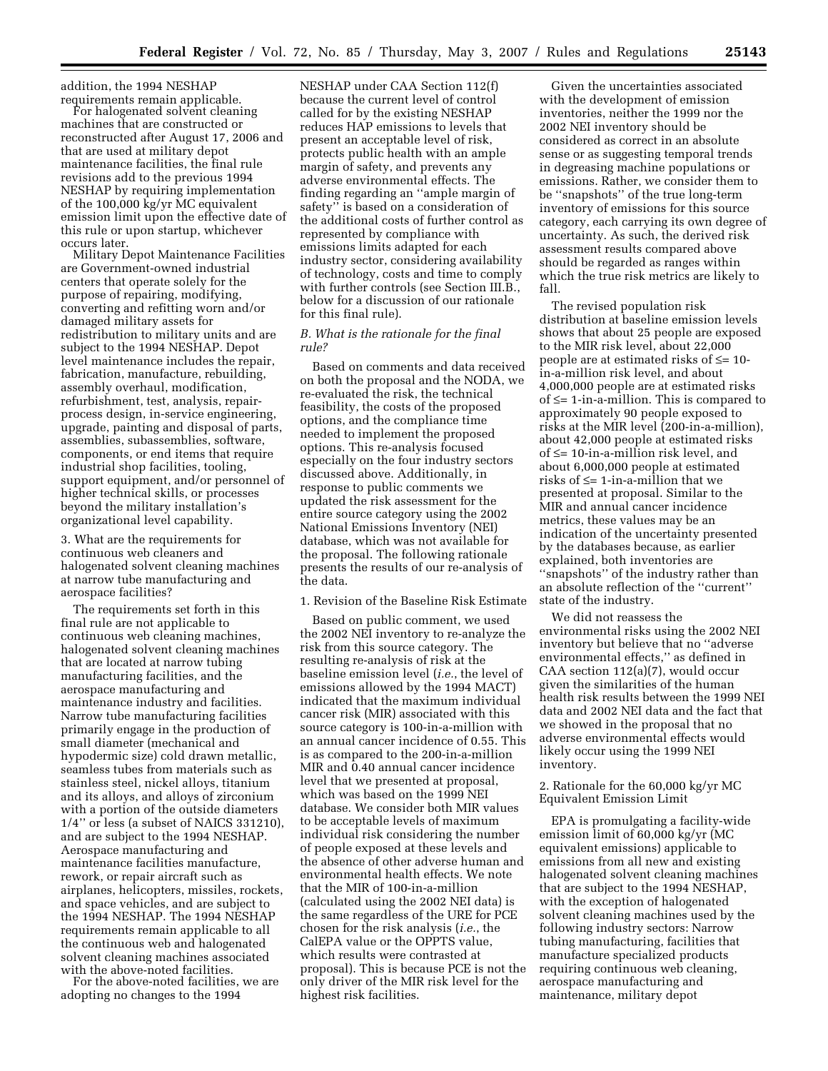addition, the 1994 NESHAP<br>requirements remain applicable.

For halogenated solvent cleaning. machines that are constructed or reconstructed after August 17, 2006 and that are used at military depot maintenance facilities, the final rule revisions add to the previous 1994 NESHAP by requiring implementation of the 100,000 kg/yr MC equivalent emission limit upon the effective date of this rule or upon startup, whichever occurs later.

Military Depot Maintenance Facilities are Government-owned industrial centers that operate solely for the purpose of repairing, modifying, converting and refitting worn and/or damaged military assets for redistribution to military units and are subject to the 1994 NESHAP. Depot level maintenance includes the repair, fabrication, manufacture, rebuilding, assembly overhaul, modification, refurbishment, test, analysis, repairprocess design, in-service engineering, upgrade, painting and disposal of parts, assemblies, subassemblies, software, components, or end items that require industrial shop facilities, tooling, support equipment, and/or personnel of higher technical skills, or processes beyond the military installation's organizational level capability.

3. What are the requirements for continuous web cleaners and halogenated solvent cleaning machines at narrow tube manufacturing and aerospace facilities?

The requirements set forth in this final rule are not applicable to continuous web cleaning machines, halogenated solvent cleaning machines that are located at narrow tubing manufacturing facilities, and the aerospace manufacturing and maintenance industry and facilities. Narrow tube manufacturing facilities primarily engage in the production of small diameter (mechanical and hypodermic size) cold drawn metallic, seamless tubes from materials such as stainless steel, nickel alloys, titanium and its alloys, and alloys of zirconium with a portion of the outside diameters 1/4'' or less (a subset of NAICS 331210), and are subject to the 1994 NESHAP. Aerospace manufacturing and maintenance facilities manufacture, rework, or repair aircraft such as airplanes, helicopters, missiles, rockets, and space vehicles, and are subject to the 1994 NESHAP. The 1994 NESHAP requirements remain applicable to all the continuous web and halogenated solvent cleaning machines associated with the above-noted facilities.

For the above-noted facilities, we are adopting no changes to the 1994

NESHAP under CAA Section 112(f) because the current level of control called for by the existing NESHAP reduces HAP emissions to levels that present an acceptable level of risk, protects public health with an ample margin of safety, and prevents any adverse environmental effects. The finding regarding an ''ample margin of safety'' is based on a consideration of the additional costs of further control as represented by compliance with emissions limits adapted for each industry sector, considering availability of technology, costs and time to comply with further controls (see Section III.B., below for a discussion of our rationale for this final rule).

### *B. What is the rationale for the final rule?*

Based on comments and data received on both the proposal and the NODA, we re-evaluated the risk, the technical feasibility, the costs of the proposed options, and the compliance time needed to implement the proposed options. This re-analysis focused especially on the four industry sectors discussed above. Additionally, in response to public comments we updated the risk assessment for the entire source category using the 2002 National Emissions Inventory (NEI) database, which was not available for the proposal. The following rationale presents the results of our re-analysis of the data.

1. Revision of the Baseline Risk Estimate

Based on public comment, we used the 2002 NEI inventory to re-analyze the risk from this source category. The resulting re-analysis of risk at the baseline emission level (*i.e.*, the level of emissions allowed by the 1994 MACT) indicated that the maximum individual cancer risk (MIR) associated with this source category is 100-in-a-million with an annual cancer incidence of 0.55. This is as compared to the 200-in-a-million MIR and 0.40 annual cancer incidence level that we presented at proposal, which was based on the 1999 NEI database. We consider both MIR values to be acceptable levels of maximum individual risk considering the number of people exposed at these levels and the absence of other adverse human and environmental health effects. We note that the MIR of 100-in-a-million (calculated using the 2002 NEI data) is the same regardless of the URE for PCE chosen for the risk analysis (*i.e.*, the CalEPA value or the OPPTS value, which results were contrasted at proposal). This is because PCE is not the only driver of the MIR risk level for the highest risk facilities.

Given the uncertainties associated with the development of emission inventories, neither the 1999 nor the 2002 NEI inventory should be considered as correct in an absolute sense or as suggesting temporal trends in degreasing machine populations or emissions. Rather, we consider them to be ''snapshots'' of the true long-term inventory of emissions for this source category, each carrying its own degree of uncertainty. As such, the derived risk assessment results compared above should be regarded as ranges within which the true risk metrics are likely to fall.

The revised population risk distribution at baseline emission levels shows that about 25 people are exposed to the MIR risk level, about 22,000 people are at estimated risks of ≤= 10 in-a-million risk level, and about 4,000,000 people are at estimated risks of ≤= 1-in-a-million. This is compared to approximately 90 people exposed to risks at the MIR level (200-in-a-million), about 42,000 people at estimated risks of ≤= 10-in-a-million risk level, and about 6,000,000 people at estimated risks of ≤= 1-in-a-million that we presented at proposal. Similar to the MIR and annual cancer incidence metrics, these values may be an indication of the uncertainty presented by the databases because, as earlier explained, both inventories are ''snapshots'' of the industry rather than an absolute reflection of the ''current'' state of the industry.

We did not reassess the environmental risks using the 2002 NEI inventory but believe that no ''adverse environmental effects,'' as defined in CAA section 112(a)(7), would occur given the similarities of the human health risk results between the 1999 NEI data and 2002 NEI data and the fact that we showed in the proposal that no adverse environmental effects would likely occur using the 1999 NEI inventory.

2. Rationale for the 60,000 kg/yr MC Equivalent Emission Limit

EPA is promulgating a facility-wide emission limit of 60,000 kg/yr (MC equivalent emissions) applicable to emissions from all new and existing halogenated solvent cleaning machines that are subject to the 1994 NESHAP, with the exception of halogenated solvent cleaning machines used by the following industry sectors: Narrow tubing manufacturing, facilities that manufacture specialized products requiring continuous web cleaning, aerospace manufacturing and maintenance, military depot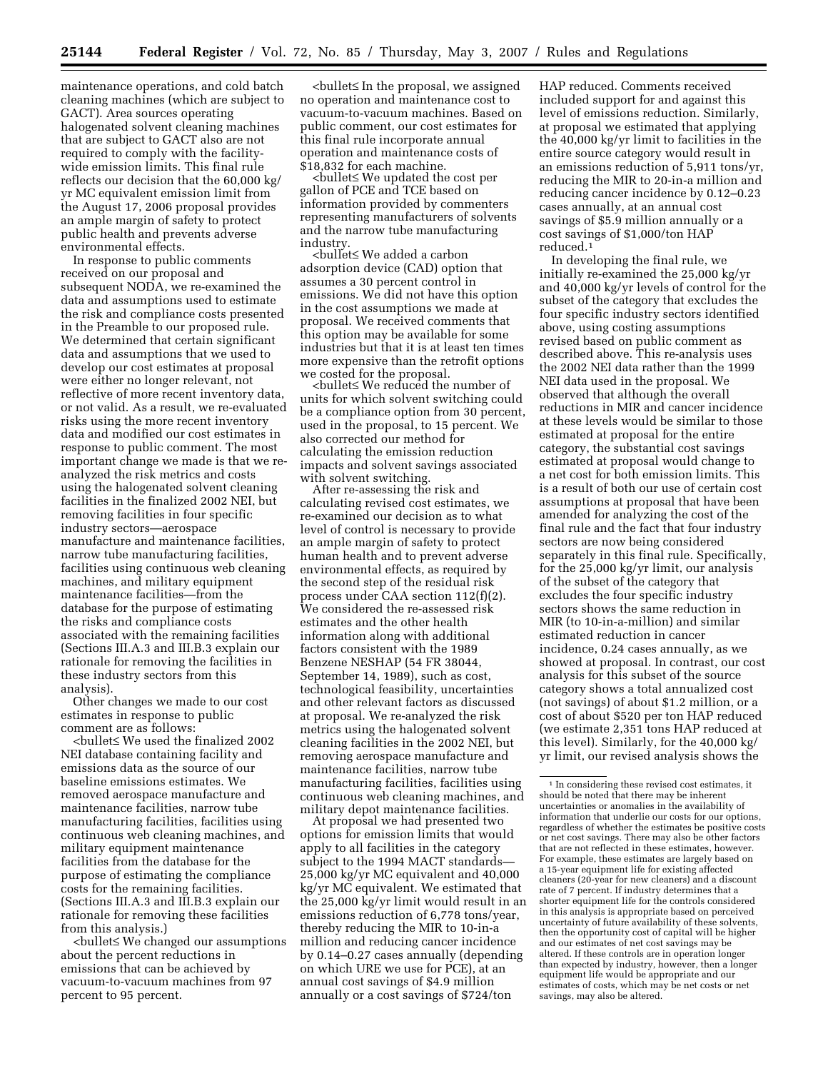maintenance operations, and cold batch cleaning machines (which are subject to GACT). Area sources operating halogenated solvent cleaning machines that are subject to GACT also are not required to comply with the facilitywide emission limits. This final rule reflects our decision that the 60,000 kg/ yr MC equivalent emission limit from the August 17, 2006 proposal provides an ample margin of safety to protect public health and prevents adverse environmental effects.

In response to public comments received on our proposal and subsequent NODA, we re-examined the data and assumptions used to estimate the risk and compliance costs presented in the Preamble to our proposed rule. We determined that certain significant data and assumptions that we used to develop our cost estimates at proposal were either no longer relevant, not reflective of more recent inventory data, or not valid. As a result, we re-evaluated risks using the more recent inventory data and modified our cost estimates in response to public comment. The most important change we made is that we reanalyzed the risk metrics and costs using the halogenated solvent cleaning facilities in the finalized 2002 NEI, but removing facilities in four specific industry sectors—aerospace manufacture and maintenance facilities, narrow tube manufacturing facilities, facilities using continuous web cleaning machines, and military equipment maintenance facilities—from the database for the purpose of estimating the risks and compliance costs associated with the remaining facilities (Sections III.A.3 and III.B.3 explain our rationale for removing the facilities in these industry sectors from this analysis).

Other changes we made to our cost estimates in response to public comment are as follows:

<bullet≤ We used the finalized 2002 NEI database containing facility and emissions data as the source of our baseline emissions estimates. We removed aerospace manufacture and maintenance facilities, narrow tube manufacturing facilities, facilities using continuous web cleaning machines, and military equipment maintenance facilities from the database for the purpose of estimating the compliance costs for the remaining facilities. (Sections III.A.3 and III.B.3 explain our rationale for removing these facilities from this analysis.)

<bullet≤ We changed our assumptions about the percent reductions in emissions that can be achieved by vacuum-to-vacuum machines from 97 percent to 95 percent.

<bullet≤ In the proposal, we assigned no operation and maintenance cost to vacuum-to-vacuum machines. Based on public comment, our cost estimates for this final rule incorporate annual operation and maintenance costs of \$18,832 for each machine.

<bullet≤ We updated the cost per gallon of PCE and TCE based on information provided by commenters representing manufacturers of solvents and the narrow tube manufacturing<br>industry

<bullet≤ We added a carbon adsorption device (CAD) option that assumes a 30 percent control in emissions. We did not have this option in the cost assumptions we made at proposal. We received comments that this option may be available for some industries but that it is at least ten times more expensive than the retrofit options<br>we costed for the proposal.

we costed for the proposal. <bullet<sup>≤</sup>We reduced the number of units for which solvent switching could be a compliance option from 30 percent, used in the proposal, to 15 percent. We also corrected our method for calculating the emission reduction impacts and solvent savings associated

with solvent switching. After re-assessing the risk and calculating revised cost estimates, we re-examined our decision as to what level of control is necessary to provide an ample margin of safety to protect human health and to prevent adverse environmental effects, as required by the second step of the residual risk process under CAA section 112(f)(2). We considered the re-assessed risk estimates and the other health information along with additional factors consistent with the 1989 Benzene NESHAP (54 FR 38044, September 14, 1989), such as cost, technological feasibility, uncertainties and other relevant factors as discussed at proposal. We re-analyzed the risk metrics using the halogenated solvent cleaning facilities in the 2002 NEI, but removing aerospace manufacture and maintenance facilities, narrow tube manufacturing facilities, facilities using continuous web cleaning machines, and military depot maintenance facilities. At proposal we had presented two

options for emission limits that would apply to all facilities in the category subject to the 1994 MACT standards— 25,000 kg/yr MC equivalent and 40,000 kg/yr MC equivalent. We estimated that the 25,000 kg/yr limit would result in an emissions reduction of 6,778 tons/year, thereby reducing the MIR to 10-in-a million and reducing cancer incidence by 0.14–0.27 cases annually (depending on which URE we use for PCE), at an annual cost savings of \$4.9 million annually or a cost savings of \$724/ton

HAP reduced. Comments received included support for and against this level of emissions reduction. Similarly, at proposal we estimated that applying the 40,000 kg/yr limit to facilities in the entire source category would result in an emissions reduction of 5,911 tons/yr, reducing the MIR to 20-in-a million and reducing cancer incidence by 0.12–0.23 cases annually, at an annual cost savings of \$5.9 million annually or a cost savings of \$1,000/ton HAP reduced.1

In developing the final rule, we initially re-examined the 25,000 kg/yr and 40,000 kg/yr levels of control for the subset of the category that excludes the four specific industry sectors identified above, using costing assumptions revised based on public comment as described above. This re-analysis uses the 2002 NEI data rather than the 1999 NEI data used in the proposal. We observed that although the overall reductions in MIR and cancer incidence at these levels would be similar to those estimated at proposal for the entire category, the substantial cost savings estimated at proposal would change to a net cost for both emission limits. This is a result of both our use of certain cost assumptions at proposal that have been amended for analyzing the cost of the final rule and the fact that four industry sectors are now being considered separately in this final rule. Specifically, for the 25,000 kg/yr limit, our analysis of the subset of the category that excludes the four specific industry sectors shows the same reduction in MIR (to 10-in-a-million) and similar estimated reduction in cancer incidence, 0.24 cases annually, as we showed at proposal. In contrast, our cost analysis for this subset of the source category shows a total annualized cost (not savings) of about \$1.2 million, or a cost of about \$520 per ton HAP reduced (we estimate 2,351 tons HAP reduced at this level). Similarly, for the 40,000 kg/ yr limit, our revised analysis shows the

<sup>1</sup> In considering these revised cost estimates, it should be noted that there may be inherent uncertainties or anomalies in the availability of information that underlie our costs for our options, regardless of whether the estimates be positive costs or net cost savings. There may also be other factors that are not reflected in these estimates, however. For example, these estimates are largely based on a 15-year equipment life for existing affected cleaners (20-year for new cleaners) and a discount rate of 7 percent. If industry determines that a shorter equipment life for the controls considered in this analysis is appropriate based on perceived uncertainty of future availability of these solvents, then the opportunity cost of capital will be higher and our estimates of net cost savings may be altered. If these controls are in operation longer than expected by industry, however, then a longer equipment life would be appropriate and our estimates of costs, which may be net costs or net savings, may also be altered.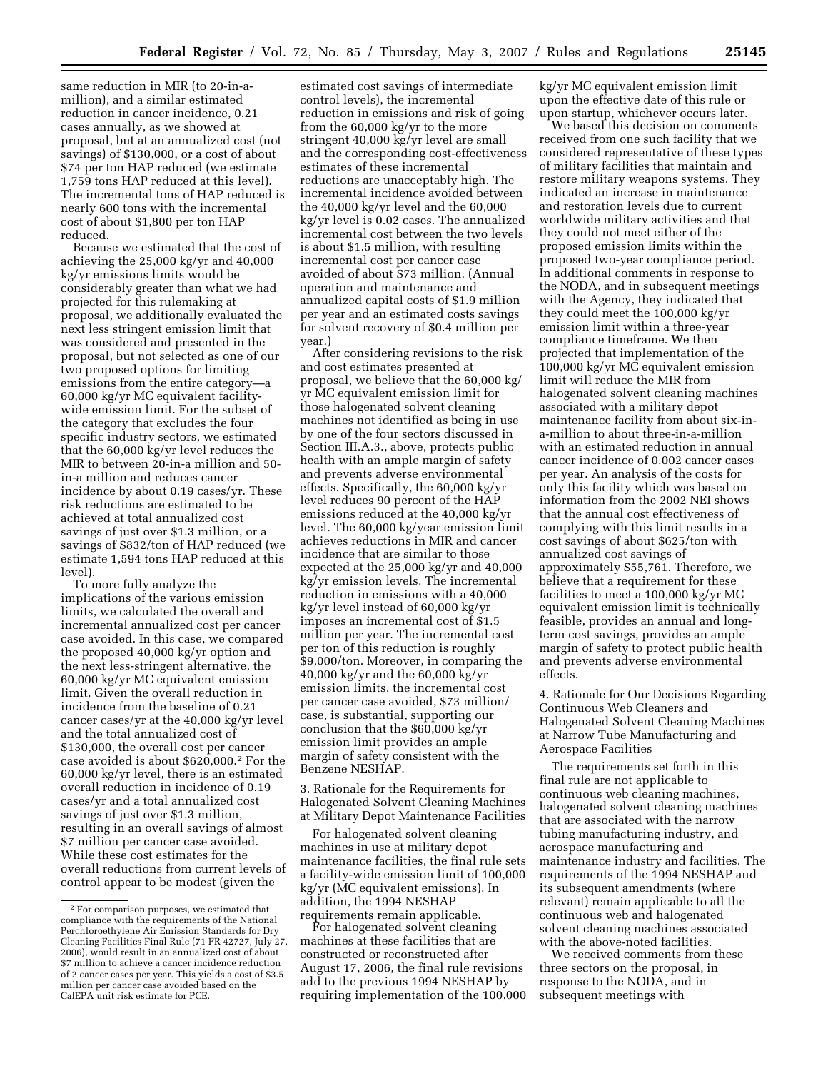same reduction in MIR (to 20-in-amillion), and a similar estimated reduction in cancer incidence, 0.21 cases annually, as we showed at proposal, but at an annualized cost (not savings) of \$130,000, or a cost of about \$74 per ton HAP reduced (we estimate 1,759 tons HAP reduced at this level). The incremental tons of HAP reduced is nearly 600 tons with the incremental cost of about \$1,800 per ton HAP reduced.

Because we estimated that the cost of achieving the 25,000 kg/yr and 40,000 kg/yr emissions limits would be considerably greater than what we had projected for this rulemaking at proposal, we additionally evaluated the next less stringent emission limit that was considered and presented in the proposal, but not selected as one of our two proposed options for limiting emissions from the entire category—a 60,000 kg/yr MC equivalent facilitywide emission limit. For the subset of the category that excludes the four specific industry sectors, we estimated that the 60,000 kg/yr level reduces the MIR to between 20-in-a million and 50 in-a million and reduces cancer incidence by about 0.19 cases/yr. These risk reductions are estimated to be achieved at total annualized cost savings of just over \$1.3 million, or a savings of \$832/ton of HAP reduced (we estimate 1,594 tons HAP reduced at this level).

To more fully analyze the implications of the various emission limits, we calculated the overall and incremental annualized cost per cancer case avoided. In this case, we compared the proposed 40,000 kg/yr option and the next less-stringent alternative, the 60,000 kg/yr MC equivalent emission limit. Given the overall reduction in incidence from the baseline of 0.21 cancer cases/yr at the 40,000 kg/yr level and the total annualized cost of \$130,000, the overall cost per cancer case avoided is about \$620,000.2 For the 60,000 kg/yr level, there is an estimated overall reduction in incidence of 0.19 cases/yr and a total annualized cost savings of just over \$1.3 million, resulting in an overall savings of almost \$7 million per cancer case avoided. While these cost estimates for the overall reductions from current levels of control appear to be modest (given the

estimated cost savings of intermediate control levels), the incremental reduction in emissions and risk of going from the 60,000 kg/yr to the more stringent 40,000 kg/yr level are small and the corresponding cost-effectiveness estimates of these incremental reductions are unacceptably high. The incremental incidence avoided between the 40,000 kg/yr level and the 60,000 kg/yr level is 0.02 cases. The annualized incremental cost between the two levels is about \$1.5 million, with resulting incremental cost per cancer case avoided of about \$73 million. (Annual operation and maintenance and annualized capital costs of \$1.9 million per year and an estimated costs savings for solvent recovery of \$0.4 million per year.)

After considering revisions to the risk and cost estimates presented at proposal, we believe that the 60,000 kg/ yr MC equivalent emission limit for those halogenated solvent cleaning machines not identified as being in use by one of the four sectors discussed in Section III.A.3., above, protects public health with an ample margin of safety and prevents adverse environmental effects. Specifically, the 60,000 kg/yr level reduces 90 percent of the HAP emissions reduced at the 40,000 kg/yr level. The 60,000 kg/year emission limit achieves reductions in MIR and cancer incidence that are similar to those expected at the 25,000 kg/yr and 40,000 kg/yr emission levels. The incremental reduction in emissions with a 40,000 kg/yr level instead of 60,000 kg/yr imposes an incremental cost of \$1.5 million per year. The incremental cost per ton of this reduction is roughly \$9,000/ton. Moreover, in comparing the 40,000 kg/yr and the 60,000 kg/yr emission limits, the incremental cost per cancer case avoided, \$73 million/ case, is substantial, supporting our conclusion that the \$60,000 kg/yr emission limit provides an ample margin of safety consistent with the Benzene NESHAP.

3. Rationale for the Requirements for Halogenated Solvent Cleaning Machines at Military Depot Maintenance Facilities

For halogenated solvent cleaning machines in use at military depot maintenance facilities, the final rule sets a facility-wide emission limit of 100,000 kg/yr (MC equivalent emissions). In addition, the 1994 NESHAP requirements remain applicable.

For halogenated solvent cleaning machines at these facilities that are constructed or reconstructed after August 17, 2006, the final rule revisions add to the previous 1994 NESHAP by requiring implementation of the 100,000 kg/yr MC equivalent emission limit upon the effective date of this rule or upon startup, whichever occurs later.

We based this decision on comments received from one such facility that we considered representative of these types of military facilities that maintain and restore military weapons systems. They indicated an increase in maintenance and restoration levels due to current worldwide military activities and that they could not meet either of the proposed emission limits within the proposed two-year compliance period. In additional comments in response to the NODA, and in subsequent meetings with the Agency, they indicated that they could meet the 100,000 kg/yr emission limit within a three-year compliance timeframe. We then projected that implementation of the 100,000 kg/yr MC equivalent emission limit will reduce the MIR from halogenated solvent cleaning machines associated with a military depot maintenance facility from about six-ina-million to about three-in-a-million with an estimated reduction in annual cancer incidence of 0.002 cancer cases per year. An analysis of the costs for only this facility which was based on information from the 2002 NEI shows that the annual cost effectiveness of complying with this limit results in a cost savings of about \$625/ton with annualized cost savings of approximately \$55,761. Therefore, we believe that a requirement for these facilities to meet a 100,000 kg/yr MC equivalent emission limit is technically feasible, provides an annual and longterm cost savings, provides an ample margin of safety to protect public health and prevents adverse environmental effects.

4. Rationale for Our Decisions Regarding Continuous Web Cleaners and Halogenated Solvent Cleaning Machines at Narrow Tube Manufacturing and Aerospace Facilities

The requirements set forth in this final rule are not applicable to continuous web cleaning machines, halogenated solvent cleaning machines that are associated with the narrow tubing manufacturing industry, and aerospace manufacturing and maintenance industry and facilities. The requirements of the 1994 NESHAP and its subsequent amendments (where relevant) remain applicable to all the continuous web and halogenated solvent cleaning machines associated with the above-noted facilities.

We received comments from these three sectors on the proposal, in response to the NODA, and in subsequent meetings with

<sup>2</sup> For comparison purposes, we estimated that compliance with the requirements of the National Perchloroethylene Air Emission Standards for Dry Cleaning Facilities Final Rule (71 FR 42727, July 27, 2006), would result in an annualized cost of about \$7 million to achieve a cancer incidence reduction of 2 cancer cases per year. This yields a cost of \$3.5 million per cancer case avoided based on the CalEPA unit risk estimate for PCE.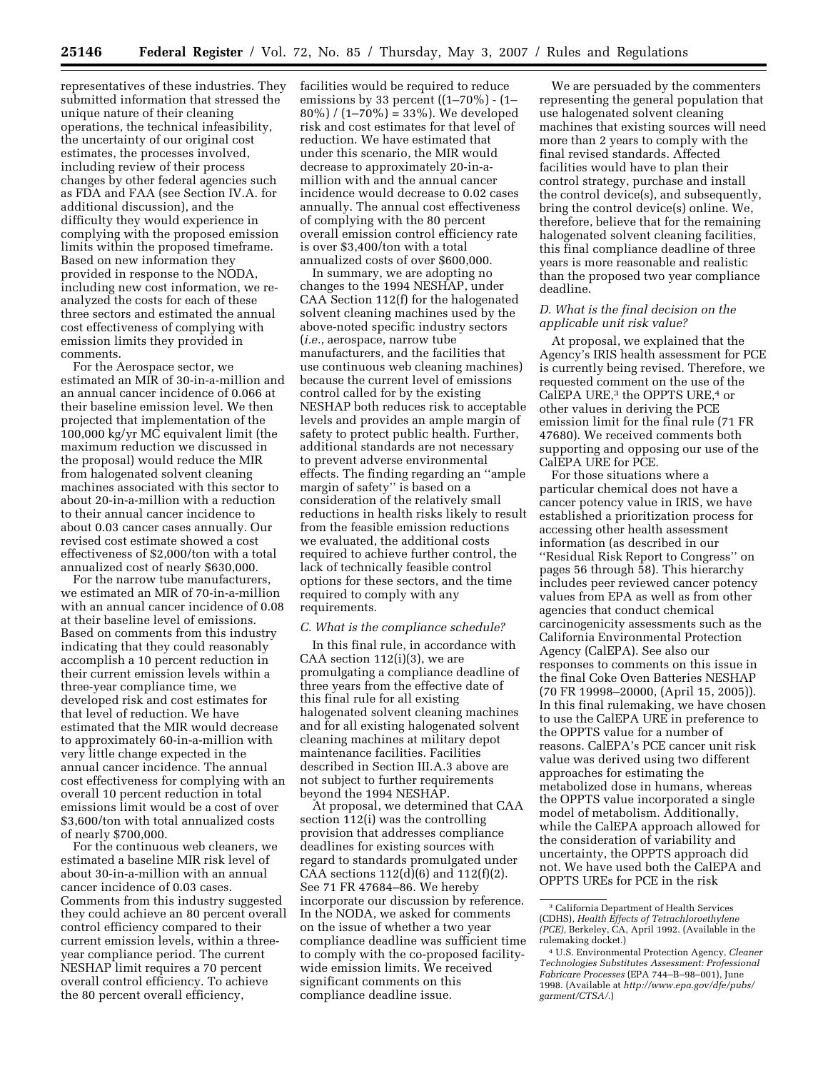representatives of these industries. They submitted information that stressed the unique nature of their cleaning operations, the technical infeasibility, the uncertainty of our original cost estimates, the processes involved, including review of their process changes by other federal agencies such as FDA and FAA (see Section IV.A. for additional discussion), and the difficulty they would experience in complying with the proposed emission limits within the proposed timeframe. Based on new information they provided in response to the NODA, including new cost information, we reanalyzed the costs for each of these three sectors and estimated the annual cost effectiveness of complying with emission limits they provided in comments.

For the Aerospace sector, we estimated an MIR of 30-in-a-million and an annual cancer incidence of 0.066 at their baseline emission level. We then projected that implementation of the 100,000 kg/yr MC equivalent limit (the maximum reduction we discussed in the proposal) would reduce the MIR from halogenated solvent cleaning machines associated with this sector to about 20-in-a-million with a reduction to their annual cancer incidence to about 0.03 cancer cases annually. Our revised cost estimate showed a cost effectiveness of \$2,000/ton with a total annualized cost of nearly \$630,000.

For the narrow tube manufacturers, we estimated an MIR of 70-in-a-million with an annual cancer incidence of 0.08 at their baseline level of emissions. Based on comments from this industry indicating that they could reasonably accomplish a 10 percent reduction in their current emission levels within a three-year compliance time, we developed risk and cost estimates for that level of reduction. We have estimated that the MIR would decrease to approximately 60-in-a-million with very little change expected in the annual cancer incidence. The annual cost effectiveness for complying with an overall 10 percent reduction in total emissions limit would be a cost of over \$3,600/ton with total annualized costs of nearly \$700,000.

For the continuous web cleaners, we estimated a baseline MIR risk level of about 30-in-a-million with an annual cancer incidence of 0.03 cases. Comments from this industry suggested they could achieve an 80 percent overall control efficiency compared to their current emission levels, within a threeyear compliance period. The current NESHAP limit requires a 70 percent overall control efficiency. To achieve the 80 percent overall efficiency,

facilities would be required to reduce emissions by 33 percent ((1–70%) - (1–  $80\%$ ) /  $(1-70\%) = 33\%$ . We developed risk and cost estimates for that level of reduction. We have estimated that under this scenario, the MIR would decrease to approximately 20-in-amillion with and the annual cancer incidence would decrease to 0.02 cases annually. The annual cost effectiveness of complying with the 80 percent overall emission control efficiency rate is over \$3,400/ton with a total annualized costs of over \$600,000.

In summary, we are adopting no changes to the 1994 NESHAP, under CAA Section 112(f) for the halogenated solvent cleaning machines used by the above-noted specific industry sectors (*i.e.*, aerospace, narrow tube manufacturers, and the facilities that use continuous web cleaning machines) because the current level of emissions control called for by the existing NESHAP both reduces risk to acceptable levels and provides an ample margin of safety to protect public health. Further, additional standards are not necessary to prevent adverse environmental effects. The finding regarding an ''ample margin of safety'' is based on a consideration of the relatively small reductions in health risks likely to result from the feasible emission reductions we evaluated, the additional costs required to achieve further control, the lack of technically feasible control options for these sectors, and the time required to comply with any requirements.

#### *C. What is the compliance schedule?*

In this final rule, in accordance with CAA section  $112(i)(3)$ , we are promulgating a compliance deadline of three years from the effective date of this final rule for all existing halogenated solvent cleaning machines and for all existing halogenated solvent cleaning machines at military depot maintenance facilities. Facilities described in Section III.A.3 above are not subject to further requirements beyond the 1994 NESHAP.

At proposal, we determined that CAA section 112(i) was the controlling provision that addresses compliance deadlines for existing sources with regard to standards promulgated under CAA sections  $112(d)(6)$  and  $112(f)(2)$ . See 71 FR 47684–86. We hereby incorporate our discussion by reference. In the NODA, we asked for comments on the issue of whether a two year compliance deadline was sufficient time to comply with the co-proposed facilitywide emission limits. We received significant comments on this compliance deadline issue.

We are persuaded by the commenters representing the general population that use halogenated solvent cleaning machines that existing sources will need more than 2 years to comply with the final revised standards. Affected facilities would have to plan their control strategy, purchase and install the control device(s), and subsequently, bring the control device(s) online. We, therefore, believe that for the remaining halogenated solvent cleaning facilities, this final compliance deadline of three years is more reasonable and realistic than the proposed two year compliance deadline.

### *D. What is the final decision on the applicable unit risk value?*

At proposal, we explained that the Agency's IRIS health assessment for PCE is currently being revised. Therefore, we requested comment on the use of the CalEPA URE,3 the OPPTS URE,4 or other values in deriving the PCE emission limit for the final rule (71 FR 47680). We received comments both supporting and opposing our use of the CalEPA URE for PCE.

For those situations where a particular chemical does not have a cancer potency value in IRIS, we have established a prioritization process for accessing other health assessment information (as described in our ''Residual Risk Report to Congress'' on pages 56 through 58). This hierarchy includes peer reviewed cancer potency values from EPA as well as from other agencies that conduct chemical carcinogenicity assessments such as the California Environmental Protection Agency (CalEPA). See also our responses to comments on this issue in the final Coke Oven Batteries NESHAP (70 FR 19998–20000, (April 15, 2005)). In this final rulemaking, we have chosen to use the CalEPA URE in preference to the OPPTS value for a number of reasons. CalEPA's PCE cancer unit risk value was derived using two different approaches for estimating the metabolized dose in humans, whereas the OPPTS value incorporated a single model of metabolism. Additionally, while the CalEPA approach allowed for the consideration of variability and uncertainty, the OPPTS approach did not. We have used both the CalEPA and OPPTS UREs for PCE in the risk

<sup>3</sup> California Department of Health Services (CDHS), *Health Effects of Tetrachloroethylene (PCE),* Berkeley, CA, April 1992. (Available in the rulemaking docket.)

<sup>4</sup> U.S. Environmental Protection Agency, *Cleaner Technologies Substitutes Assessment: Professional Fabricare Processes* (EPA 744–B–98–001), June 1998. (Available at *http://www.epa.gov/dfe/pubs/ garment/CTSA/*.)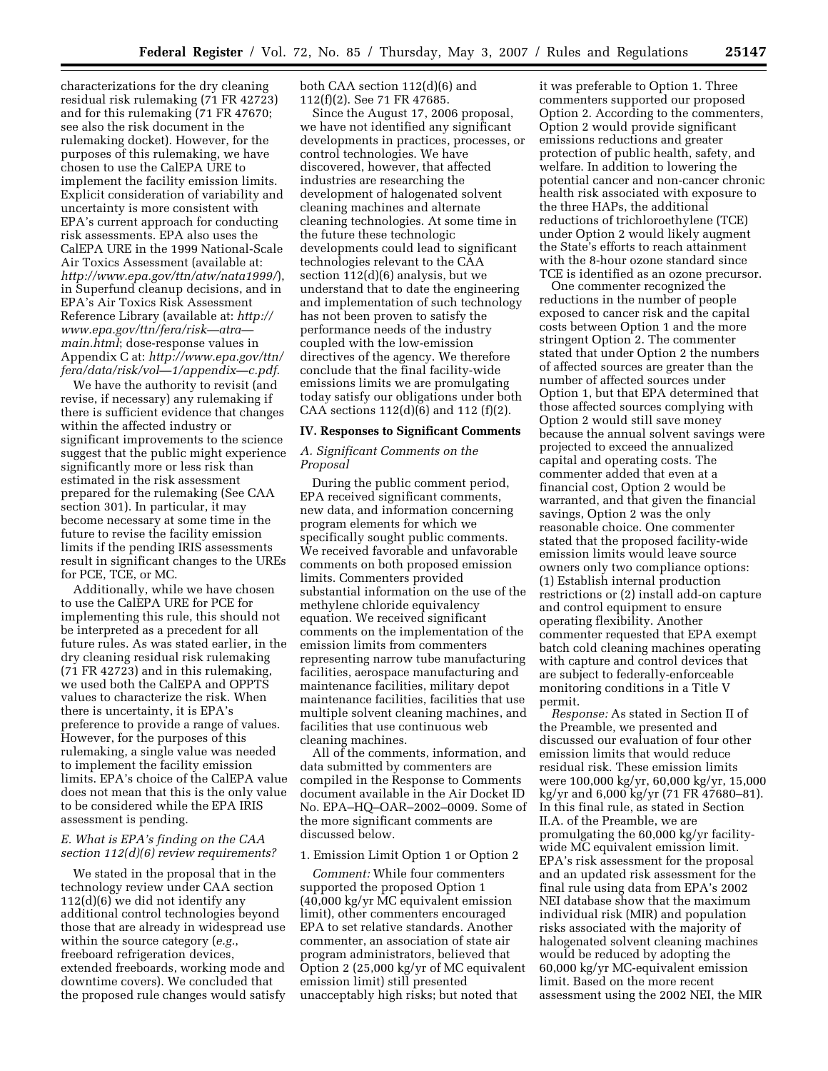characterizations for the dry cleaning residual risk rulemaking (71 FR 42723) and for this rulemaking (71 FR 47670; see also the risk document in the rulemaking docket). However, for the purposes of this rulemaking, we have chosen to use the CalEPA URE to implement the facility emission limits. Explicit consideration of variability and uncertainty is more consistent with EPA's current approach for conducting risk assessments. EPA also uses the CalEPA URE in the 1999 National-Scale Air Toxics Assessment (available at: *http://www.epa.gov/ttn/atw/nata1999/*), in Superfund cleanup decisions, and in EPA's Air Toxics Risk Assessment Reference Library (available at: *http:// www.epa.gov/ttn/fera/risk—atra main.html*; dose-response values in Appendix C at: *http://www.epa.gov/ttn/ fera/data/risk/vol—1/appendix—c.pdf*.

We have the authority to revisit (and revise, if necessary) any rulemaking if there is sufficient evidence that changes within the affected industry or significant improvements to the science suggest that the public might experience significantly more or less risk than estimated in the risk assessment prepared for the rulemaking (See CAA section 301). In particular, it may become necessary at some time in the future to revise the facility emission limits if the pending IRIS assessments result in significant changes to the UREs for PCE, TCE, or MC.

Additionally, while we have chosen to use the CalEPA URE for PCE for implementing this rule, this should not be interpreted as a precedent for all future rules. As was stated earlier, in the dry cleaning residual risk rulemaking (71 FR 42723) and in this rulemaking, we used both the CalEPA and OPPTS values to characterize the risk. When there is uncertainty, it is EPA's preference to provide a range of values. However, for the purposes of this rulemaking, a single value was needed to implement the facility emission limits. EPA's choice of the CalEPA value does not mean that this is the only value to be considered while the EPA IRIS assessment is pending.

### *E. What is EPA's finding on the CAA section 112(d)(6) review requirements?*

We stated in the proposal that in the technology review under CAA section 112(d)(6) we did not identify any additional control technologies beyond those that are already in widespread use within the source category (*e.g.*, freeboard refrigeration devices, extended freeboards, working mode and downtime covers). We concluded that the proposed rule changes would satisfy both CAA section 112(d)(6) and 112(f)(2). See 71 FR 47685.

Since the August 17, 2006 proposal, we have not identified any significant developments in practices, processes, or control technologies. We have discovered, however, that affected industries are researching the development of halogenated solvent cleaning machines and alternate cleaning technologies. At some time in the future these technologic developments could lead to significant technologies relevant to the CAA section 112(d)(6) analysis, but we understand that to date the engineering and implementation of such technology has not been proven to satisfy the performance needs of the industry coupled with the low-emission directives of the agency. We therefore conclude that the final facility-wide emissions limits we are promulgating today satisfy our obligations under both CAA sections  $112(d)(6)$  and  $112(f)(2)$ .

#### **IV. Responses to Significant Comments**

### *A. Significant Comments on the Proposal*

During the public comment period, EPA received significant comments, new data, and information concerning program elements for which we specifically sought public comments. We received favorable and unfavorable comments on both proposed emission limits. Commenters provided substantial information on the use of the methylene chloride equivalency equation. We received significant comments on the implementation of the emission limits from commenters representing narrow tube manufacturing facilities, aerospace manufacturing and maintenance facilities, military depot maintenance facilities, facilities that use multiple solvent cleaning machines, and facilities that use continuous web cleaning machines.

All of the comments, information, and data submitted by commenters are compiled in the Response to Comments document available in the Air Docket ID No. EPA–HQ–OAR–2002–0009. Some of the more significant comments are discussed below.

#### 1. Emission Limit Option 1 or Option 2

*Comment:* While four commenters supported the proposed Option 1 (40,000 kg/yr MC equivalent emission limit), other commenters encouraged EPA to set relative standards. Another commenter, an association of state air program administrators, believed that Option 2 (25,000 kg/yr of MC equivalent emission limit) still presented unacceptably high risks; but noted that

it was preferable to Option 1. Three commenters supported our proposed Option 2. According to the commenters, Option 2 would provide significant emissions reductions and greater protection of public health, safety, and welfare. In addition to lowering the potential cancer and non-cancer chronic health risk associated with exposure to the three HAPs, the additional reductions of trichloroethylene (TCE) under Option 2 would likely augment the State's efforts to reach attainment with the 8-hour ozone standard since TCE is identified as an ozone precursor.

One commenter recognized the reductions in the number of people exposed to cancer risk and the capital costs between Option 1 and the more stringent Option 2. The commenter stated that under Option 2 the numbers of affected sources are greater than the number of affected sources under Option 1, but that EPA determined that those affected sources complying with Option 2 would still save money because the annual solvent savings were projected to exceed the annualized capital and operating costs. The commenter added that even at a financial cost, Option 2 would be warranted, and that given the financial savings, Option 2 was the only reasonable choice. One commenter stated that the proposed facility-wide emission limits would leave source owners only two compliance options: (1) Establish internal production restrictions or (2) install add-on capture and control equipment to ensure operating flexibility. Another commenter requested that EPA exempt batch cold cleaning machines operating with capture and control devices that are subject to federally-enforceable monitoring conditions in a Title V permit.

*Response:* As stated in Section II of the Preamble, we presented and discussed our evaluation of four other emission limits that would reduce residual risk. These emission limits were 100,000 kg/yr, 60,000 kg/yr, 15,000 kg/yr and 6,000 kg/yr (71 FR 47680–81). In this final rule, as stated in Section II.A. of the Preamble, we are promulgating the 60,000 kg/yr facilitywide MC equivalent emission limit. EPA's risk assessment for the proposal and an updated risk assessment for the final rule using data from EPA's 2002 NEI database show that the maximum individual risk (MIR) and population risks associated with the majority of halogenated solvent cleaning machines would be reduced by adopting the 60,000 kg/yr MC-equivalent emission limit. Based on the more recent assessment using the 2002 NEI, the MIR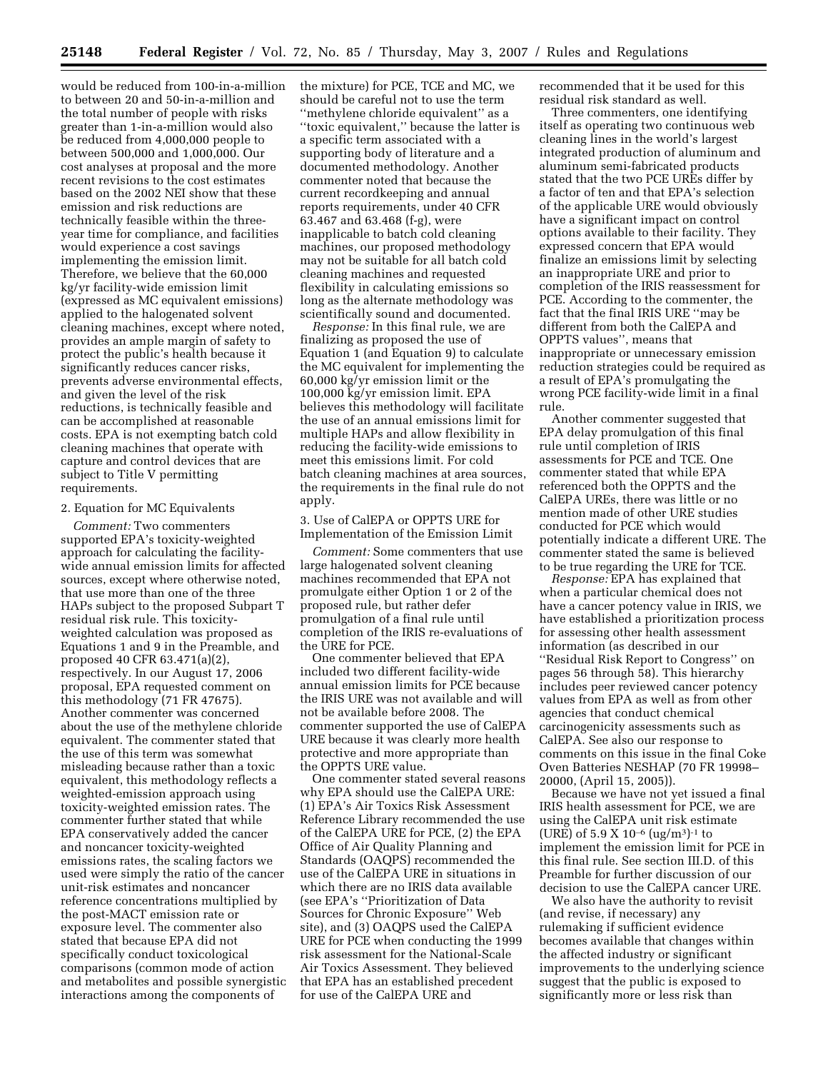would be reduced from 100-in-a-million to between 20 and 50-in-a-million and the total number of people with risks greater than 1-in-a-million would also be reduced from 4,000,000 people to between 500,000 and 1,000,000. Our cost analyses at proposal and the more recent revisions to the cost estimates based on the 2002 NEI show that these emission and risk reductions are technically feasible within the threeyear time for compliance, and facilities would experience a cost savings implementing the emission limit. Therefore, we believe that the 60,000 kg/yr facility-wide emission limit (expressed as MC equivalent emissions) applied to the halogenated solvent cleaning machines, except where noted, provides an ample margin of safety to protect the public's health because it significantly reduces cancer risks, prevents adverse environmental effects, and given the level of the risk reductions, is technically feasible and can be accomplished at reasonable costs. EPA is not exempting batch cold cleaning machines that operate with capture and control devices that are subject to Title V permitting requirements.

#### 2. Equation for MC Equivalents

*Comment:* Two commenters supported EPA's toxicity-weighted approach for calculating the facilitywide annual emission limits for affected sources, except where otherwise noted, that use more than one of the three HAPs subject to the proposed Subpart T residual risk rule. This toxicityweighted calculation was proposed as Equations 1 and 9 in the Preamble, and proposed 40 CFR 63.471(a)(2), respectively. In our August 17, 2006 proposal, EPA requested comment on this methodology (71 FR 47675). Another commenter was concerned about the use of the methylene chloride equivalent. The commenter stated that the use of this term was somewhat misleading because rather than a toxic equivalent, this methodology reflects a weighted-emission approach using toxicity-weighted emission rates. The commenter further stated that while EPA conservatively added the cancer and noncancer toxicity-weighted emissions rates, the scaling factors we used were simply the ratio of the cancer unit-risk estimates and noncancer reference concentrations multiplied by the post-MACT emission rate or exposure level. The commenter also stated that because EPA did not specifically conduct toxicological comparisons (common mode of action and metabolites and possible synergistic interactions among the components of

the mixture) for PCE, TCE and MC, we should be careful not to use the term ''methylene chloride equivalent'' as a ''toxic equivalent,'' because the latter is a specific term associated with a supporting body of literature and a documented methodology. Another commenter noted that because the current recordkeeping and annual reports requirements, under 40 CFR 63.467 and 63.468 (f-g), were inapplicable to batch cold cleaning machines, our proposed methodology may not be suitable for all batch cold cleaning machines and requested flexibility in calculating emissions so long as the alternate methodology was scientifically sound and documented.

*Response:* In this final rule, we are finalizing as proposed the use of Equation 1 (and Equation 9) to calculate the MC equivalent for implementing the 60,000 kg/yr emission limit or the 100,000 kg/yr emission limit. EPA believes this methodology will facilitate the use of an annual emissions limit for multiple HAPs and allow flexibility in reducing the facility-wide emissions to meet this emissions limit. For cold batch cleaning machines at area sources, the requirements in the final rule do not apply.

## 3. Use of CalEPA or OPPTS URE for Implementation of the Emission Limit

*Comment:* Some commenters that use large halogenated solvent cleaning machines recommended that EPA not promulgate either Option 1 or 2 of the proposed rule, but rather defer promulgation of a final rule until completion of the IRIS re-evaluations of the URE for PCE.

One commenter believed that EPA included two different facility-wide annual emission limits for PCE because the IRIS URE was not available and will not be available before 2008. The commenter supported the use of CalEPA URE because it was clearly more health protective and more appropriate than the OPPTS URE value.

One commenter stated several reasons why EPA should use the CalEPA URE: (1) EPA's Air Toxics Risk Assessment Reference Library recommended the use of the CalEPA URE for PCE, (2) the EPA Office of Air Quality Planning and Standards (OAQPS) recommended the use of the CalEPA URE in situations in which there are no IRIS data available (see EPA's ''Prioritization of Data Sources for Chronic Exposure'' Web site), and (3) OAQPS used the CalEPA URE for PCE when conducting the 1999 risk assessment for the National-Scale Air Toxics Assessment. They believed that EPA has an established precedent for use of the CalEPA URE and

recommended that it be used for this residual risk standard as well.

Three commenters, one identifying itself as operating two continuous web cleaning lines in the world's largest integrated production of aluminum and aluminum semi-fabricated products stated that the two PCE UREs differ by a factor of ten and that EPA's selection of the applicable URE would obviously have a significant impact on control options available to their facility. They expressed concern that EPA would finalize an emissions limit by selecting an inappropriate URE and prior to completion of the IRIS reassessment for PCE. According to the commenter, the fact that the final IRIS URE ''may be different from both the CalEPA and OPPTS values'', means that inappropriate or unnecessary emission reduction strategies could be required as a result of EPA's promulgating the wrong PCE facility-wide limit in a final rule.

Another commenter suggested that EPA delay promulgation of this final rule until completion of IRIS assessments for PCE and TCE. One commenter stated that while EPA referenced both the OPPTS and the CalEPA UREs, there was little or no mention made of other URE studies conducted for PCE which would potentially indicate a different URE. The commenter stated the same is believed to be true regarding the URE for TCE.

*Response:* EPA has explained that when a particular chemical does not have a cancer potency value in IRIS, we have established a prioritization process for assessing other health assessment information (as described in our ''Residual Risk Report to Congress'' on pages 56 through 58). This hierarchy includes peer reviewed cancer potency values from EPA as well as from other agencies that conduct chemical carcinogenicity assessments such as CalEPA. See also our response to comments on this issue in the final Coke Oven Batteries NESHAP (70 FR 19998– 20000, (April 15, 2005)).

Because we have not yet issued a final IRIS health assessment for PCE, we are using the CalEPA unit risk estimate (URE) of  $5.9 \text{ X } 10^{-6}$  (ug/m<sup>3</sup>)<sup>-1</sup> to implement the emission limit for PCE in this final rule. See section III.D. of this Preamble for further discussion of our decision to use the CalEPA cancer URE.

We also have the authority to revisit (and revise, if necessary) any rulemaking if sufficient evidence becomes available that changes within the affected industry or significant improvements to the underlying science suggest that the public is exposed to significantly more or less risk than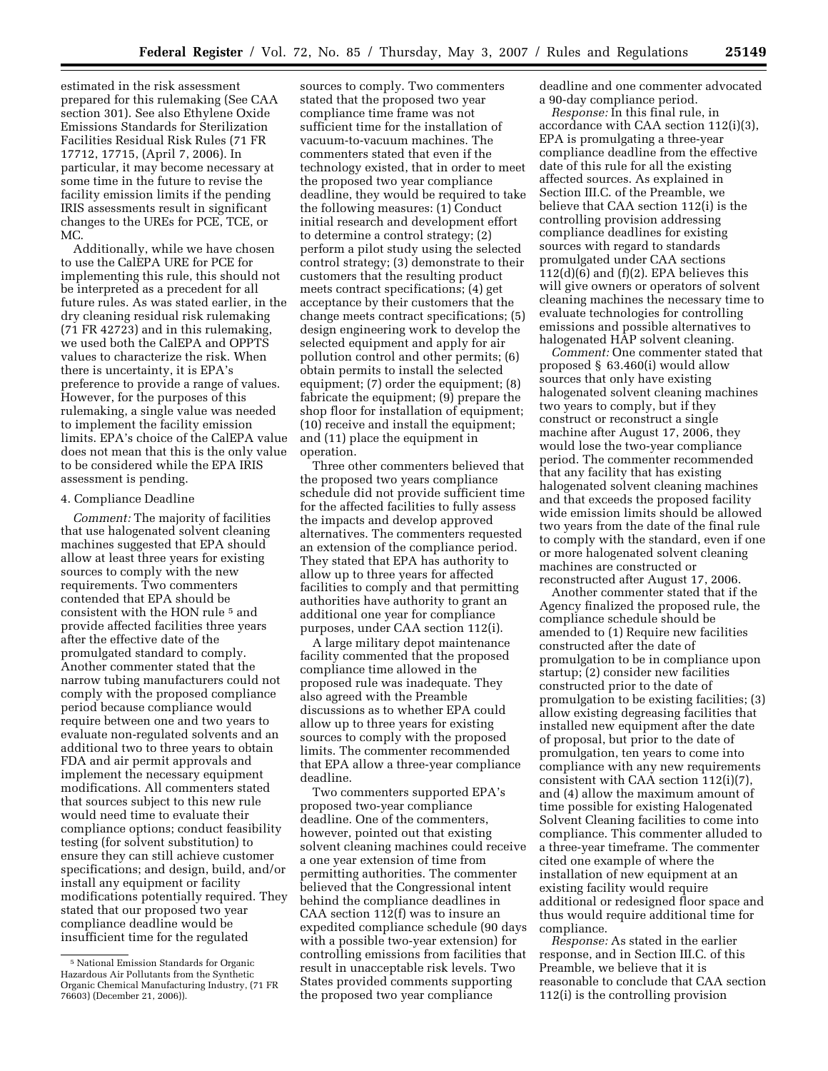estimated in the risk assessment prepared for this rulemaking (See CAA section 301). See also Ethylene Oxide Emissions Standards for Sterilization Facilities Residual Risk Rules (71 FR 17712, 17715, (April 7, 2006). In particular, it may become necessary at some time in the future to revise the facility emission limits if the pending IRIS assessments result in significant changes to the UREs for PCE, TCE, or MC.

Additionally, while we have chosen to use the CalEPA URE for PCE for implementing this rule, this should not be interpreted as a precedent for all future rules. As was stated earlier, in the dry cleaning residual risk rulemaking (71 FR 42723) and in this rulemaking, we used both the CalEPA and OPPTS values to characterize the risk. When there is uncertainty, it is EPA's preference to provide a range of values. However, for the purposes of this rulemaking, a single value was needed to implement the facility emission limits. EPA's choice of the CalEPA value does not mean that this is the only value to be considered while the EPA IRIS assessment is pending.

#### 4. Compliance Deadline

*Comment:* The majority of facilities that use halogenated solvent cleaning machines suggested that EPA should allow at least three years for existing sources to comply with the new requirements. Two commenters contended that EPA should be consistent with the HON rule 5 and provide affected facilities three years after the effective date of the promulgated standard to comply. Another commenter stated that the narrow tubing manufacturers could not comply with the proposed compliance period because compliance would require between one and two years to evaluate non-regulated solvents and an additional two to three years to obtain FDA and air permit approvals and implement the necessary equipment modifications. All commenters stated that sources subject to this new rule would need time to evaluate their compliance options; conduct feasibility testing (for solvent substitution) to ensure they can still achieve customer specifications; and design, build, and/or install any equipment or facility modifications potentially required. They stated that our proposed two year compliance deadline would be insufficient time for the regulated

sources to comply. Two commenters stated that the proposed two year compliance time frame was not sufficient time for the installation of vacuum-to-vacuum machines. The commenters stated that even if the technology existed, that in order to meet the proposed two year compliance deadline, they would be required to take the following measures: (1) Conduct initial research and development effort to determine a control strategy; (2) perform a pilot study using the selected control strategy; (3) demonstrate to their customers that the resulting product meets contract specifications; (4) get acceptance by their customers that the change meets contract specifications; (5) design engineering work to develop the selected equipment and apply for air pollution control and other permits; (6) obtain permits to install the selected equipment; (7) order the equipment; (8) fabricate the equipment; (9) prepare the shop floor for installation of equipment; (10) receive and install the equipment; and (11) place the equipment in operation.

Three other commenters believed that the proposed two years compliance schedule did not provide sufficient time for the affected facilities to fully assess the impacts and develop approved alternatives. The commenters requested an extension of the compliance period. They stated that EPA has authority to allow up to three years for affected facilities to comply and that permitting authorities have authority to grant an additional one year for compliance purposes, under CAA section 112(i).

A large military depot maintenance facility commented that the proposed compliance time allowed in the proposed rule was inadequate. They also agreed with the Preamble discussions as to whether EPA could allow up to three years for existing sources to comply with the proposed limits. The commenter recommended that EPA allow a three-year compliance deadline.

Two commenters supported EPA's proposed two-year compliance deadline. One of the commenters, however, pointed out that existing solvent cleaning machines could receive a one year extension of time from permitting authorities. The commenter believed that the Congressional intent behind the compliance deadlines in CAA section 112(f) was to insure an expedited compliance schedule (90 days with a possible two-year extension) for controlling emissions from facilities that result in unacceptable risk levels. Two States provided comments supporting the proposed two year compliance

deadline and one commenter advocated a 90-day compliance period.

*Response:* In this final rule, in accordance with CAA section 112(i)(3), EPA is promulgating a three-year compliance deadline from the effective date of this rule for all the existing affected sources. As explained in Section III.C. of the Preamble, we believe that CAA section 112(i) is the controlling provision addressing compliance deadlines for existing sources with regard to standards promulgated under CAA sections 112(d)(6) and (f)(2). EPA believes this will give owners or operators of solvent cleaning machines the necessary time to evaluate technologies for controlling emissions and possible alternatives to halogenated HAP solvent cleaning.

*Comment:* One commenter stated that proposed § 63.460(i) would allow sources that only have existing halogenated solvent cleaning machines two years to comply, but if they construct or reconstruct a single machine after August 17, 2006, they would lose the two-year compliance period. The commenter recommended that any facility that has existing halogenated solvent cleaning machines and that exceeds the proposed facility wide emission limits should be allowed two years from the date of the final rule to comply with the standard, even if one or more halogenated solvent cleaning machines are constructed or reconstructed after August 17, 2006.

Another commenter stated that if the Agency finalized the proposed rule, the compliance schedule should be amended to (1) Require new facilities constructed after the date of promulgation to be in compliance upon startup; (2) consider new facilities constructed prior to the date of promulgation to be existing facilities; (3) allow existing degreasing facilities that installed new equipment after the date of proposal, but prior to the date of promulgation, ten years to come into compliance with any new requirements consistent with CAA section 112(i)(7), and (4) allow the maximum amount of time possible for existing Halogenated Solvent Cleaning facilities to come into compliance. This commenter alluded to a three-year timeframe. The commenter cited one example of where the installation of new equipment at an existing facility would require additional or redesigned floor space and thus would require additional time for compliance.

*Response:* As stated in the earlier response, and in Section III.C. of this Preamble, we believe that it is reasonable to conclude that CAA section 112(i) is the controlling provision

<sup>5</sup> National Emission Standards for Organic Hazardous Air Pollutants from the Synthetic Organic Chemical Manufacturing Industry, (71 FR 76603) (December 21, 2006)).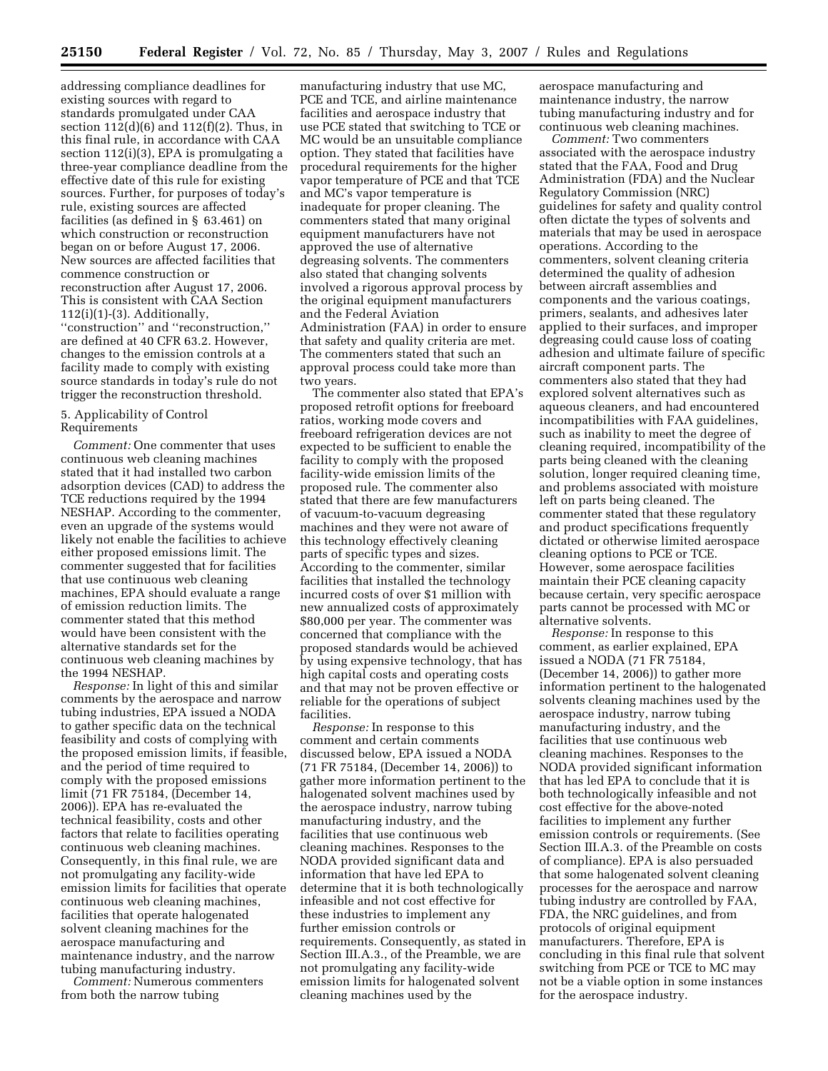addressing compliance deadlines for existing sources with regard to standards promulgated under CAA section 112(d)(6) and 112(f)(2). Thus, in this final rule, in accordance with CAA section 112(i)(3), EPA is promulgating a three-year compliance deadline from the effective date of this rule for existing sources. Further, for purposes of today's rule, existing sources are affected facilities (as defined in § 63.461) on which construction or reconstruction began on or before August 17, 2006. New sources are affected facilities that commence construction or reconstruction after August 17, 2006. This is consistent with CAA Section  $112(i)(1)-(3)$ . Additionally, ''construction'' and ''reconstruction,'' are defined at 40 CFR 63.2. However, changes to the emission controls at a facility made to comply with existing source standards in today's rule do not trigger the reconstruction threshold.

### 5. Applicability of Control Requirements

*Comment:* One commenter that uses continuous web cleaning machines stated that it had installed two carbon adsorption devices (CAD) to address the TCE reductions required by the 1994 NESHAP. According to the commenter, even an upgrade of the systems would likely not enable the facilities to achieve either proposed emissions limit. The commenter suggested that for facilities that use continuous web cleaning machines, EPA should evaluate a range of emission reduction limits. The commenter stated that this method would have been consistent with the alternative standards set for the continuous web cleaning machines by the 1994 NESHAP.

*Response:* In light of this and similar comments by the aerospace and narrow tubing industries, EPA issued a NODA to gather specific data on the technical feasibility and costs of complying with the proposed emission limits, if feasible, and the period of time required to comply with the proposed emissions limit (71 FR 75184, (December 14, 2006)). EPA has re-evaluated the technical feasibility, costs and other factors that relate to facilities operating continuous web cleaning machines. Consequently, in this final rule, we are not promulgating any facility-wide emission limits for facilities that operate continuous web cleaning machines, facilities that operate halogenated solvent cleaning machines for the aerospace manufacturing and maintenance industry, and the narrow tubing manufacturing industry.

*Comment:* Numerous commenters from both the narrow tubing

manufacturing industry that use MC, PCE and TCE, and airline maintenance facilities and aerospace industry that use PCE stated that switching to TCE or MC would be an unsuitable compliance option. They stated that facilities have procedural requirements for the higher vapor temperature of PCE and that TCE and MC's vapor temperature is inadequate for proper cleaning. The commenters stated that many original equipment manufacturers have not approved the use of alternative degreasing solvents. The commenters also stated that changing solvents involved a rigorous approval process by the original equipment manufacturers and the Federal Aviation Administration (FAA) in order to ensure that safety and quality criteria are met. The commenters stated that such an approval process could take more than two years.

The commenter also stated that EPA's proposed retrofit options for freeboard ratios, working mode covers and freeboard refrigeration devices are not expected to be sufficient to enable the facility to comply with the proposed facility-wide emission limits of the proposed rule. The commenter also stated that there are few manufacturers of vacuum-to-vacuum degreasing machines and they were not aware of this technology effectively cleaning parts of specific types and sizes. According to the commenter, similar facilities that installed the technology incurred costs of over \$1 million with new annualized costs of approximately \$80,000 per year. The commenter was concerned that compliance with the proposed standards would be achieved by using expensive technology, that has high capital costs and operating costs and that may not be proven effective or reliable for the operations of subject facilities.

*Response:* In response to this comment and certain comments discussed below, EPA issued a NODA (71 FR 75184, (December 14, 2006)) to gather more information pertinent to the halogenated solvent machines used by the aerospace industry, narrow tubing manufacturing industry, and the facilities that use continuous web cleaning machines. Responses to the NODA provided significant data and information that have led EPA to determine that it is both technologically infeasible and not cost effective for these industries to implement any further emission controls or requirements. Consequently, as stated in Section III.A.3., of the Preamble, we are not promulgating any facility-wide emission limits for halogenated solvent cleaning machines used by the

aerospace manufacturing and maintenance industry, the narrow tubing manufacturing industry and for continuous web cleaning machines.

*Comment:* Two commenters associated with the aerospace industry stated that the FAA, Food and Drug Administration (FDA) and the Nuclear Regulatory Commission (NRC) guidelines for safety and quality control often dictate the types of solvents and materials that may be used in aerospace operations. According to the commenters, solvent cleaning criteria determined the quality of adhesion between aircraft assemblies and components and the various coatings, primers, sealants, and adhesives later applied to their surfaces, and improper degreasing could cause loss of coating adhesion and ultimate failure of specific aircraft component parts. The commenters also stated that they had explored solvent alternatives such as aqueous cleaners, and had encountered incompatibilities with FAA guidelines, such as inability to meet the degree of cleaning required, incompatibility of the parts being cleaned with the cleaning solution, longer required cleaning time, and problems associated with moisture left on parts being cleaned. The commenter stated that these regulatory and product specifications frequently dictated or otherwise limited aerospace cleaning options to PCE or TCE. However, some aerospace facilities maintain their PCE cleaning capacity because certain, very specific aerospace parts cannot be processed with MC or alternative solvents.

*Response:* In response to this comment, as earlier explained, EPA issued a NODA (71 FR 75184, (December 14, 2006)) to gather more information pertinent to the halogenated solvents cleaning machines used by the aerospace industry, narrow tubing manufacturing industry, and the facilities that use continuous web cleaning machines. Responses to the NODA provided significant information that has led EPA to conclude that it is both technologically infeasible and not cost effective for the above-noted facilities to implement any further emission controls or requirements. (See Section III.A.3. of the Preamble on costs of compliance). EPA is also persuaded that some halogenated solvent cleaning processes for the aerospace and narrow tubing industry are controlled by FAA, FDA, the NRC guidelines, and from protocols of original equipment manufacturers. Therefore, EPA is concluding in this final rule that solvent switching from PCE or TCE to MC may not be a viable option in some instances for the aerospace industry.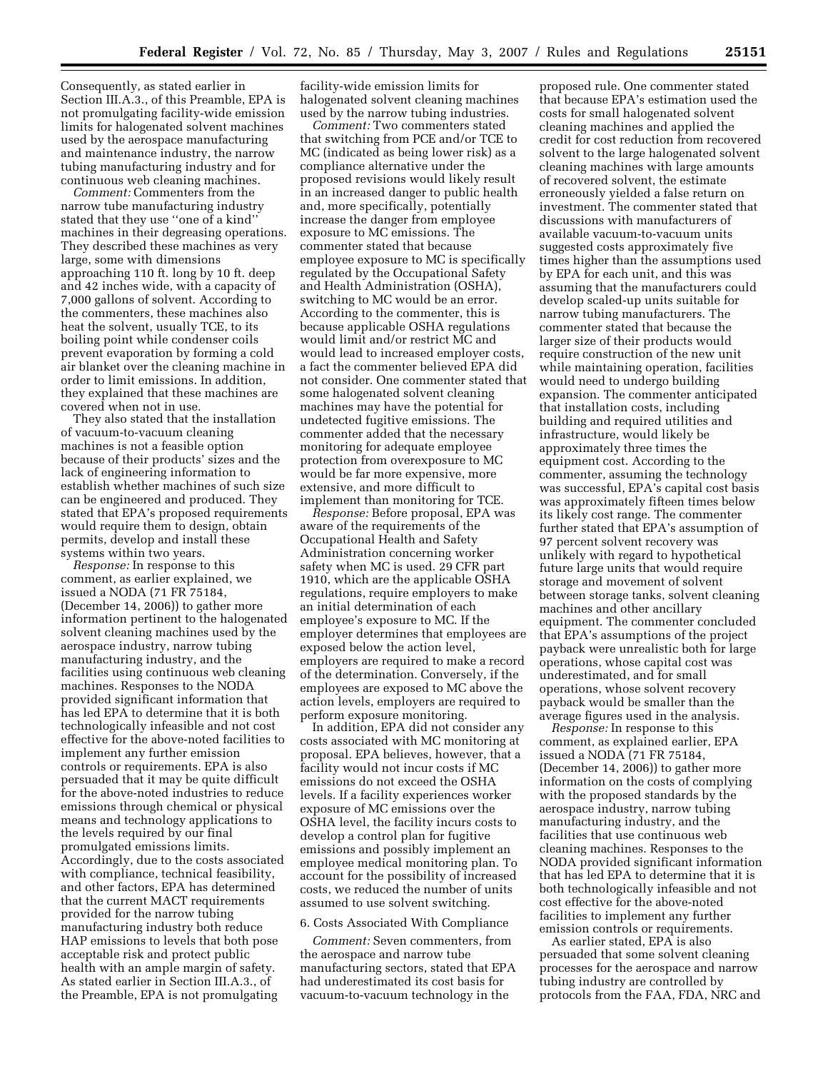Consequently, as stated earlier in Section III.A.3., of this Preamble, EPA is not promulgating facility-wide emission limits for halogenated solvent machines used by the aerospace manufacturing and maintenance industry, the narrow tubing manufacturing industry and for continuous web cleaning machines.

*Comment:* Commenters from the narrow tube manufacturing industry stated that they use ''one of a kind'' machines in their degreasing operations. They described these machines as very large, some with dimensions approaching 110 ft. long by 10 ft. deep and 42 inches wide, with a capacity of 7,000 gallons of solvent. According to the commenters, these machines also heat the solvent, usually TCE, to its boiling point while condenser coils prevent evaporation by forming a cold air blanket over the cleaning machine in order to limit emissions. In addition, they explained that these machines are covered when not in use.

They also stated that the installation of vacuum-to-vacuum cleaning machines is not a feasible option because of their products' sizes and the lack of engineering information to establish whether machines of such size can be engineered and produced. They stated that EPA's proposed requirements would require them to design, obtain permits, develop and install these systems within two years.

*Response:* In response to this comment, as earlier explained, we issued a NODA (71 FR 75184, (December 14, 2006)) to gather more information pertinent to the halogenated solvent cleaning machines used by the aerospace industry, narrow tubing manufacturing industry, and the facilities using continuous web cleaning machines. Responses to the NODA provided significant information that has led EPA to determine that it is both technologically infeasible and not cost effective for the above-noted facilities to implement any further emission controls or requirements. EPA is also persuaded that it may be quite difficult for the above-noted industries to reduce emissions through chemical or physical means and technology applications to the levels required by our final promulgated emissions limits. Accordingly, due to the costs associated with compliance, technical feasibility, and other factors, EPA has determined that the current MACT requirements provided for the narrow tubing manufacturing industry both reduce HAP emissions to levels that both pose acceptable risk and protect public health with an ample margin of safety. As stated earlier in Section III.A.3., of the Preamble, EPA is not promulgating

facility-wide emission limits for halogenated solvent cleaning machines used by the narrow tubing industries.

*Comment:* Two commenters stated that switching from PCE and/or TCE to MC (indicated as being lower risk) as a compliance alternative under the proposed revisions would likely result in an increased danger to public health and, more specifically, potentially increase the danger from employee exposure to MC emissions. The commenter stated that because employee exposure to MC is specifically regulated by the Occupational Safety and Health Administration (OSHA), switching to MC would be an error. According to the commenter, this is because applicable OSHA regulations would limit and/or restrict MC and would lead to increased employer costs, a fact the commenter believed EPA did not consider. One commenter stated that some halogenated solvent cleaning machines may have the potential for undetected fugitive emissions. The commenter added that the necessary monitoring for adequate employee protection from overexposure to MC would be far more expensive, more extensive, and more difficult to implement than monitoring for TCE.

*Response:* Before proposal, EPA was aware of the requirements of the Occupational Health and Safety Administration concerning worker safety when MC is used. 29 CFR part 1910, which are the applicable OSHA regulations, require employers to make an initial determination of each employee's exposure to MC. If the employer determines that employees are exposed below the action level, employers are required to make a record of the determination. Conversely, if the employees are exposed to MC above the action levels, employers are required to perform exposure monitoring.

In addition, EPA did not consider any costs associated with MC monitoring at proposal. EPA believes, however, that a facility would not incur costs if MC emissions do not exceed the OSHA levels. If a facility experiences worker exposure of MC emissions over the OSHA level, the facility incurs costs to develop a control plan for fugitive emissions and possibly implement an employee medical monitoring plan. To account for the possibility of increased costs, we reduced the number of units assumed to use solvent switching.

#### 6. Costs Associated With Compliance

*Comment:* Seven commenters, from the aerospace and narrow tube manufacturing sectors, stated that EPA had underestimated its cost basis for vacuum-to-vacuum technology in the

proposed rule. One commenter stated that because EPA's estimation used the costs for small halogenated solvent cleaning machines and applied the credit for cost reduction from recovered solvent to the large halogenated solvent cleaning machines with large amounts of recovered solvent, the estimate erroneously yielded a false return on investment. The commenter stated that discussions with manufacturers of available vacuum-to-vacuum units suggested costs approximately five times higher than the assumptions used by EPA for each unit, and this was assuming that the manufacturers could develop scaled-up units suitable for narrow tubing manufacturers. The commenter stated that because the larger size of their products would require construction of the new unit while maintaining operation, facilities would need to undergo building expansion. The commenter anticipated that installation costs, including building and required utilities and infrastructure, would likely be approximately three times the equipment cost. According to the commenter, assuming the technology was successful, EPA's capital cost basis was approximately fifteen times below its likely cost range. The commenter further stated that EPA's assumption of 97 percent solvent recovery was unlikely with regard to hypothetical future large units that would require storage and movement of solvent between storage tanks, solvent cleaning machines and other ancillary equipment. The commenter concluded that EPA's assumptions of the project payback were unrealistic both for large operations, whose capital cost was underestimated, and for small operations, whose solvent recovery payback would be smaller than the average figures used in the analysis.

*Response:* In response to this comment, as explained earlier, EPA issued a NODA (71 FR 75184, (December 14, 2006)) to gather more information on the costs of complying with the proposed standards by the aerospace industry, narrow tubing manufacturing industry, and the facilities that use continuous web cleaning machines. Responses to the NODA provided significant information that has led EPA to determine that it is both technologically infeasible and not cost effective for the above-noted facilities to implement any further emission controls or requirements.

As earlier stated, EPA is also persuaded that some solvent cleaning processes for the aerospace and narrow tubing industry are controlled by protocols from the FAA, FDA, NRC and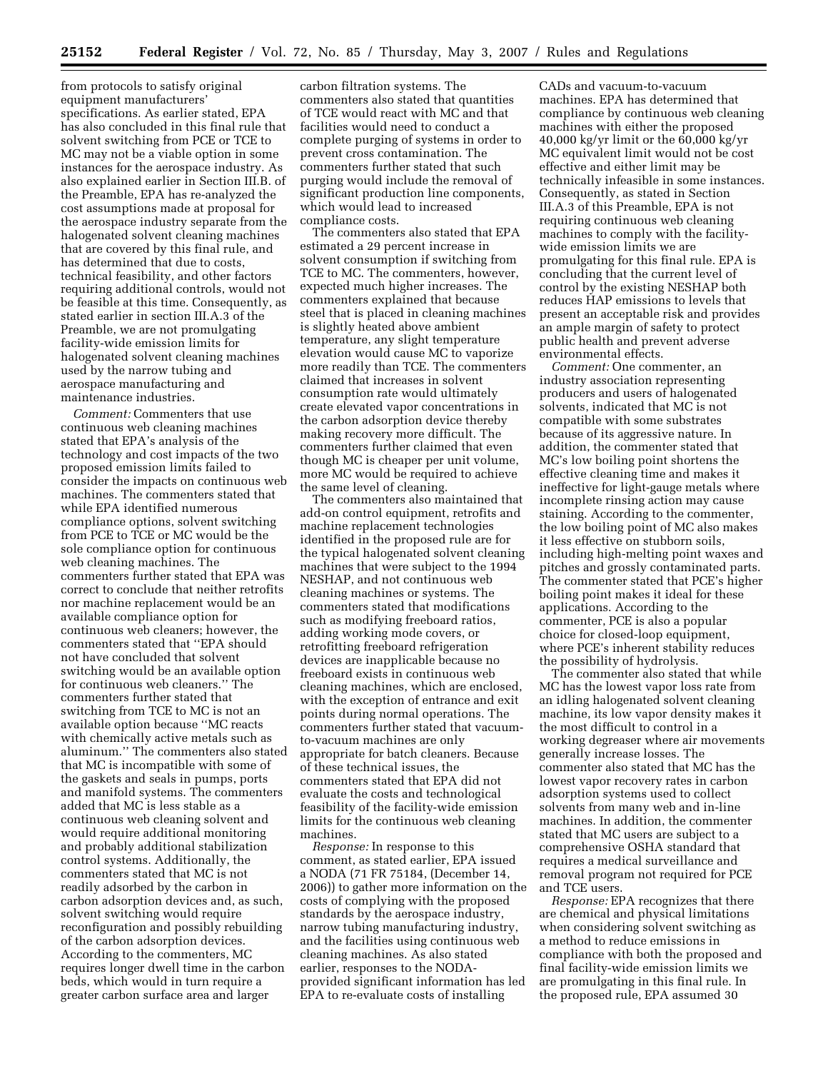from protocols to satisfy original equipment manufacturers' specifications. As earlier stated, EPA has also concluded in this final rule that solvent switching from PCE or TCE to MC may not be a viable option in some instances for the aerospace industry. As also explained earlier in Section III.B. of the Preamble, EPA has re-analyzed the cost assumptions made at proposal for the aerospace industry separate from the halogenated solvent cleaning machines that are covered by this final rule, and has determined that due to costs, technical feasibility, and other factors requiring additional controls, would not be feasible at this time. Consequently, as stated earlier in section III.A.3 of the Preamble, we are not promulgating facility-wide emission limits for halogenated solvent cleaning machines used by the narrow tubing and aerospace manufacturing and maintenance industries.

*Comment:* Commenters that use continuous web cleaning machines stated that EPA's analysis of the technology and cost impacts of the two proposed emission limits failed to consider the impacts on continuous web machines. The commenters stated that while EPA identified numerous compliance options, solvent switching from PCE to TCE or MC would be the sole compliance option for continuous web cleaning machines. The commenters further stated that EPA was correct to conclude that neither retrofits nor machine replacement would be an available compliance option for continuous web cleaners; however, the commenters stated that ''EPA should not have concluded that solvent switching would be an available option for continuous web cleaners.'' The commenters further stated that switching from TCE to MC is not an available option because ''MC reacts with chemically active metals such as aluminum.'' The commenters also stated that MC is incompatible with some of the gaskets and seals in pumps, ports and manifold systems. The commenters added that MC is less stable as a continuous web cleaning solvent and would require additional monitoring and probably additional stabilization control systems. Additionally, the commenters stated that MC is not readily adsorbed by the carbon in carbon adsorption devices and, as such, solvent switching would require reconfiguration and possibly rebuilding of the carbon adsorption devices. According to the commenters, MC requires longer dwell time in the carbon beds, which would in turn require a greater carbon surface area and larger

carbon filtration systems. The commenters also stated that quantities of TCE would react with MC and that facilities would need to conduct a complete purging of systems in order to prevent cross contamination. The commenters further stated that such purging would include the removal of significant production line components, which would lead to increased compliance costs.

The commenters also stated that EPA estimated a 29 percent increase in solvent consumption if switching from TCE to MC. The commenters, however, expected much higher increases. The commenters explained that because steel that is placed in cleaning machines is slightly heated above ambient temperature, any slight temperature elevation would cause MC to vaporize more readily than TCE. The commenters claimed that increases in solvent consumption rate would ultimately create elevated vapor concentrations in the carbon adsorption device thereby making recovery more difficult. The commenters further claimed that even though MC is cheaper per unit volume, more MC would be required to achieve the same level of cleaning.

The commenters also maintained that add-on control equipment, retrofits and machine replacement technologies identified in the proposed rule are for the typical halogenated solvent cleaning machines that were subject to the 1994 NESHAP, and not continuous web cleaning machines or systems. The commenters stated that modifications such as modifying freeboard ratios, adding working mode covers, or retrofitting freeboard refrigeration devices are inapplicable because no freeboard exists in continuous web cleaning machines, which are enclosed, with the exception of entrance and exit points during normal operations. The commenters further stated that vacuumto-vacuum machines are only appropriate for batch cleaners. Because of these technical issues, the commenters stated that EPA did not evaluate the costs and technological feasibility of the facility-wide emission limits for the continuous web cleaning machines.

*Response:* In response to this comment, as stated earlier, EPA issued a NODA (71 FR 75184, (December 14, 2006)) to gather more information on the costs of complying with the proposed standards by the aerospace industry, narrow tubing manufacturing industry, and the facilities using continuous web cleaning machines. As also stated earlier, responses to the NODAprovided significant information has led EPA to re-evaluate costs of installing

CADs and vacuum-to-vacuum machines. EPA has determined that compliance by continuous web cleaning machines with either the proposed 40,000 kg/yr limit or the 60,000 kg/yr MC equivalent limit would not be cost effective and either limit may be technically infeasible in some instances. Consequently, as stated in Section III.A.3 of this Preamble, EPA is not requiring continuous web cleaning machines to comply with the facilitywide emission limits we are promulgating for this final rule. EPA is concluding that the current level of control by the existing NESHAP both reduces HAP emissions to levels that present an acceptable risk and provides an ample margin of safety to protect public health and prevent adverse environmental effects.

*Comment:* One commenter, an industry association representing producers and users of halogenated solvents, indicated that MC is not compatible with some substrates because of its aggressive nature. In addition, the commenter stated that MC's low boiling point shortens the effective cleaning time and makes it ineffective for light-gauge metals where incomplete rinsing action may cause staining. According to the commenter, the low boiling point of MC also makes it less effective on stubborn soils, including high-melting point waxes and pitches and grossly contaminated parts. The commenter stated that PCE's higher boiling point makes it ideal for these applications. According to the commenter, PCE is also a popular choice for closed-loop equipment, where PCE's inherent stability reduces the possibility of hydrolysis.

The commenter also stated that while MC has the lowest vapor loss rate from an idling halogenated solvent cleaning machine, its low vapor density makes it the most difficult to control in a working degreaser where air movements generally increase losses. The commenter also stated that MC has the lowest vapor recovery rates in carbon adsorption systems used to collect solvents from many web and in-line machines. In addition, the commenter stated that MC users are subject to a comprehensive OSHA standard that requires a medical surveillance and removal program not required for PCE and TCE users.

*Response:* EPA recognizes that there are chemical and physical limitations when considering solvent switching as a method to reduce emissions in compliance with both the proposed and final facility-wide emission limits we are promulgating in this final rule. In the proposed rule, EPA assumed 30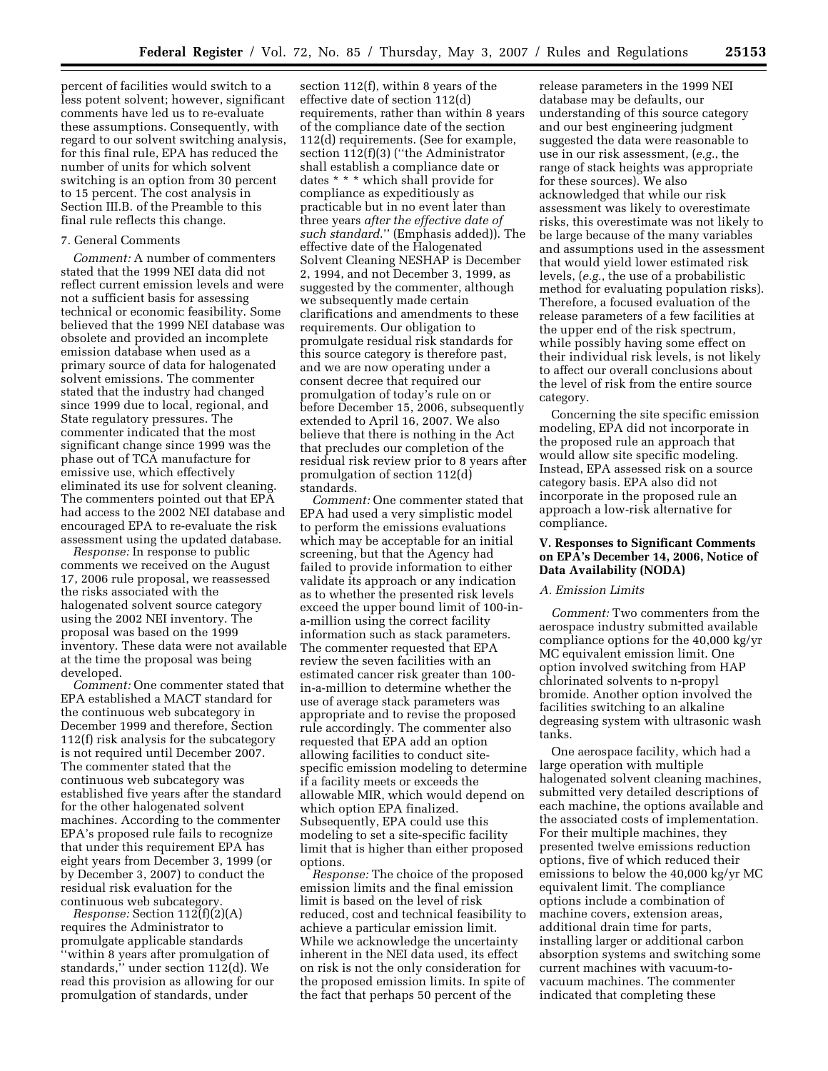percent of facilities would switch to a less potent solvent; however, significant comments have led us to re-evaluate these assumptions. Consequently, with regard to our solvent switching analysis, for this final rule, EPA has reduced the number of units for which solvent switching is an option from 30 percent to 15 percent. The cost analysis in Section III.B. of the Preamble to this final rule reflects this change.

#### 7. General Comments

*Comment:* A number of commenters stated that the 1999 NEI data did not reflect current emission levels and were not a sufficient basis for assessing technical or economic feasibility. Some believed that the 1999 NEI database was obsolete and provided an incomplete emission database when used as a primary source of data for halogenated solvent emissions. The commenter stated that the industry had changed since 1999 due to local, regional, and State regulatory pressures. The commenter indicated that the most significant change since 1999 was the phase out of TCA manufacture for emissive use, which effectively eliminated its use for solvent cleaning. The commenters pointed out that EPA had access to the 2002 NEI database and encouraged EPA to re-evaluate the risk assessment using the updated database.

*Response:* In response to public comments we received on the August 17, 2006 rule proposal, we reassessed the risks associated with the halogenated solvent source category using the 2002 NEI inventory. The proposal was based on the 1999 inventory. These data were not available at the time the proposal was being developed.

*Comment:* One commenter stated that EPA established a MACT standard for the continuous web subcategory in December 1999 and therefore, Section 112(f) risk analysis for the subcategory is not required until December 2007. The commenter stated that the continuous web subcategory was established five years after the standard for the other halogenated solvent machines. According to the commenter EPA's proposed rule fails to recognize that under this requirement EPA has eight years from December 3, 1999 (or by December 3, 2007) to conduct the residual risk evaluation for the continuous web subcategory.

*Response:* Section 112(f)(2)(A) requires the Administrator to promulgate applicable standards ''within 8 years after promulgation of standards,'' under section 112(d). We read this provision as allowing for our promulgation of standards, under

section 112(f), within 8 years of the effective date of section 112(d) requirements, rather than within 8 years of the compliance date of the section 112(d) requirements. (See for example, section 112(f)(3) (''the Administrator shall establish a compliance date or dates \* \* \* which shall provide for compliance as expeditiously as practicable but in no event later than three years *after the effective date of such standard*.'' (Emphasis added)). The effective date of the Halogenated Solvent Cleaning NESHAP is December 2, 1994, and not December 3, 1999, as suggested by the commenter, although we subsequently made certain clarifications and amendments to these requirements. Our obligation to promulgate residual risk standards for this source category is therefore past, and we are now operating under a consent decree that required our promulgation of today's rule on or before December 15, 2006, subsequently extended to April 16, 2007. We also believe that there is nothing in the Act that precludes our completion of the residual risk review prior to 8 years after promulgation of section 112(d) standards.

*Comment:* One commenter stated that EPA had used a very simplistic model to perform the emissions evaluations which may be acceptable for an initial screening, but that the Agency had failed to provide information to either validate its approach or any indication as to whether the presented risk levels exceed the upper bound limit of 100-ina-million using the correct facility information such as stack parameters. The commenter requested that EPA review the seven facilities with an estimated cancer risk greater than 100 in-a-million to determine whether the use of average stack parameters was appropriate and to revise the proposed rule accordingly. The commenter also requested that EPA add an option allowing facilities to conduct sitespecific emission modeling to determine if a facility meets or exceeds the allowable MIR, which would depend on which option EPA finalized. Subsequently, EPA could use this modeling to set a site-specific facility limit that is higher than either proposed options.

*Response:* The choice of the proposed emission limits and the final emission limit is based on the level of risk reduced, cost and technical feasibility to achieve a particular emission limit. While we acknowledge the uncertainty inherent in the NEI data used, its effect on risk is not the only consideration for the proposed emission limits. In spite of the fact that perhaps 50 percent of the

release parameters in the 1999 NEI database may be defaults, our understanding of this source category and our best engineering judgment suggested the data were reasonable to use in our risk assessment, (*e.g.*, the range of stack heights was appropriate for these sources). We also acknowledged that while our risk assessment was likely to overestimate risks, this overestimate was not likely to be large because of the many variables and assumptions used in the assessment that would yield lower estimated risk levels, (*e.g.*, the use of a probabilistic method for evaluating population risks). Therefore, a focused evaluation of the release parameters of a few facilities at the upper end of the risk spectrum, while possibly having some effect on their individual risk levels, is not likely to affect our overall conclusions about the level of risk from the entire source category.

Concerning the site specific emission modeling, EPA did not incorporate in the proposed rule an approach that would allow site specific modeling. Instead, EPA assessed risk on a source category basis. EPA also did not incorporate in the proposed rule an approach a low-risk alternative for compliance.

### **V. Responses to Significant Comments on EPA's December 14, 2006, Notice of Data Availability (NODA)**

### *A. Emission Limits*

*Comment:* Two commenters from the aerospace industry submitted available compliance options for the 40,000 kg/yr MC equivalent emission limit. One option involved switching from HAP chlorinated solvents to n-propyl bromide. Another option involved the facilities switching to an alkaline degreasing system with ultrasonic wash tanks.

One aerospace facility, which had a large operation with multiple halogenated solvent cleaning machines, submitted very detailed descriptions of each machine, the options available and the associated costs of implementation. For their multiple machines, they presented twelve emissions reduction options, five of which reduced their emissions to below the 40,000 kg/yr MC equivalent limit. The compliance options include a combination of machine covers, extension areas, additional drain time for parts, installing larger or additional carbon absorption systems and switching some current machines with vacuum-tovacuum machines. The commenter indicated that completing these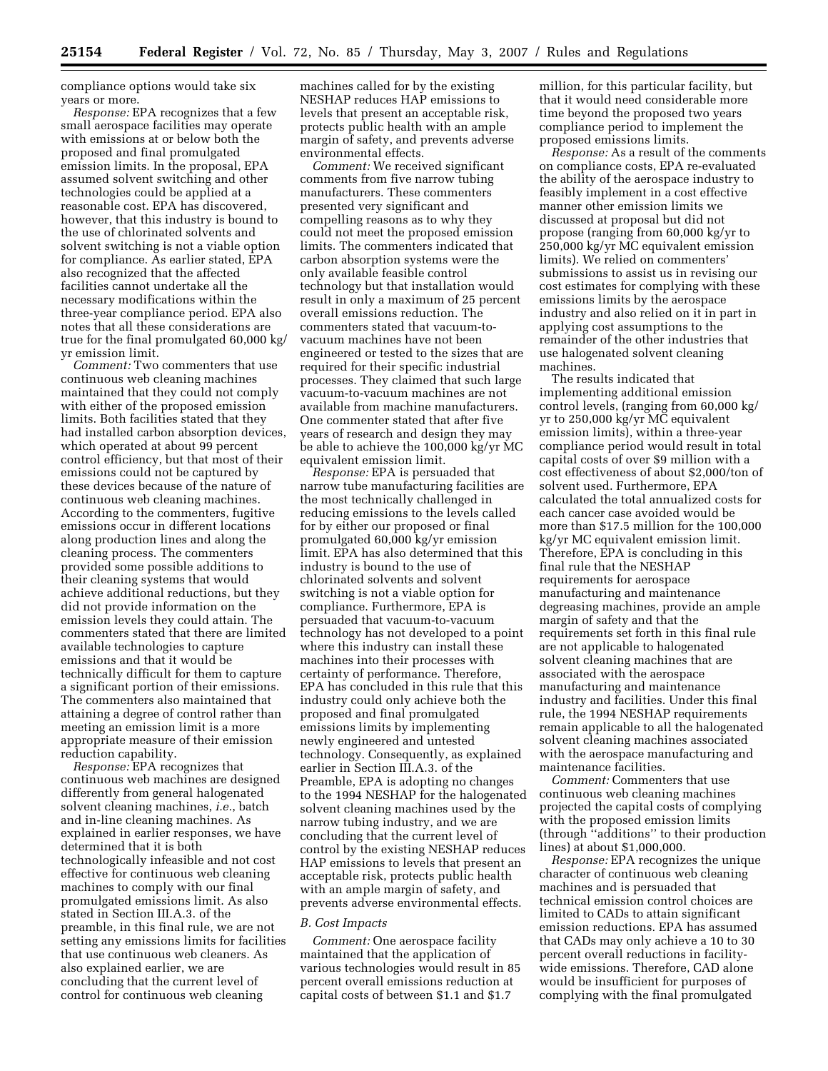compliance options would take six years or more.

*Response:* EPA recognizes that a few small aerospace facilities may operate with emissions at or below both the proposed and final promulgated emission limits. In the proposal, EPA assumed solvent switching and other technologies could be applied at a reasonable cost. EPA has discovered, however, that this industry is bound to the use of chlorinated solvents and solvent switching is not a viable option for compliance. As earlier stated, EPA also recognized that the affected facilities cannot undertake all the necessary modifications within the three-year compliance period. EPA also notes that all these considerations are true for the final promulgated 60,000 kg/ yr emission limit.

*Comment:* Two commenters that use continuous web cleaning machines maintained that they could not comply with either of the proposed emission limits. Both facilities stated that they had installed carbon absorption devices, which operated at about 99 percent control efficiency, but that most of their emissions could not be captured by these devices because of the nature of continuous web cleaning machines. According to the commenters, fugitive emissions occur in different locations along production lines and along the cleaning process. The commenters provided some possible additions to their cleaning systems that would achieve additional reductions, but they did not provide information on the emission levels they could attain. The commenters stated that there are limited available technologies to capture emissions and that it would be technically difficult for them to capture a significant portion of their emissions. The commenters also maintained that attaining a degree of control rather than meeting an emission limit is a more appropriate measure of their emission reduction capability.

*Response:* EPA recognizes that continuous web machines are designed differently from general halogenated solvent cleaning machines, *i.e.*, batch and in-line cleaning machines. As explained in earlier responses, we have determined that it is both technologically infeasible and not cost effective for continuous web cleaning machines to comply with our final promulgated emissions limit. As also stated in Section III.A.3. of the preamble, in this final rule, we are not setting any emissions limits for facilities that use continuous web cleaners. As also explained earlier, we are concluding that the current level of control for continuous web cleaning

machines called for by the existing NESHAP reduces HAP emissions to levels that present an acceptable risk, protects public health with an ample margin of safety, and prevents adverse environmental effects.

*Comment:* We received significant comments from five narrow tubing manufacturers. These commenters presented very significant and compelling reasons as to why they could not meet the proposed emission limits. The commenters indicated that carbon absorption systems were the only available feasible control technology but that installation would result in only a maximum of 25 percent overall emissions reduction. The commenters stated that vacuum-tovacuum machines have not been engineered or tested to the sizes that are required for their specific industrial processes. They claimed that such large vacuum-to-vacuum machines are not available from machine manufacturers. One commenter stated that after five years of research and design they may be able to achieve the 100,000 kg/yr MC equivalent emission limit.

*Response:* EPA is persuaded that narrow tube manufacturing facilities are the most technically challenged in reducing emissions to the levels called for by either our proposed or final promulgated 60,000 kg/yr emission limit. EPA has also determined that this industry is bound to the use of chlorinated solvents and solvent switching is not a viable option for compliance. Furthermore, EPA is persuaded that vacuum-to-vacuum technology has not developed to a point where this industry can install these machines into their processes with certainty of performance. Therefore, EPA has concluded in this rule that this industry could only achieve both the proposed and final promulgated emissions limits by implementing newly engineered and untested technology. Consequently, as explained earlier in Section III.A.3. of the Preamble, EPA is adopting no changes to the 1994 NESHAP for the halogenated solvent cleaning machines used by the narrow tubing industry, and we are concluding that the current level of control by the existing NESHAP reduces HAP emissions to levels that present an acceptable risk, protects public health with an ample margin of safety, and prevents adverse environmental effects.

#### *B. Cost Impacts*

*Comment:* One aerospace facility maintained that the application of various technologies would result in 85 percent overall emissions reduction at capital costs of between \$1.1 and \$1.7

million, for this particular facility, but that it would need considerable more time beyond the proposed two years compliance period to implement the proposed emissions limits.

*Response:* As a result of the comments on compliance costs, EPA re-evaluated the ability of the aerospace industry to feasibly implement in a cost effective manner other emission limits we discussed at proposal but did not propose (ranging from 60,000 kg/yr to 250,000 kg/yr MC equivalent emission limits). We relied on commenters' submissions to assist us in revising our cost estimates for complying with these emissions limits by the aerospace industry and also relied on it in part in applying cost assumptions to the remainder of the other industries that use halogenated solvent cleaning machines.

The results indicated that implementing additional emission control levels, (ranging from 60,000 kg/ yr to 250,000 kg/yr MC equivalent emission limits), within a three-year compliance period would result in total capital costs of over \$9 million with a cost effectiveness of about \$2,000/ton of solvent used. Furthermore, EPA calculated the total annualized costs for each cancer case avoided would be more than \$17.5 million for the 100,000 kg/yr MC equivalent emission limit. Therefore, EPA is concluding in this final rule that the NESHAP requirements for aerospace manufacturing and maintenance degreasing machines, provide an ample margin of safety and that the requirements set forth in this final rule are not applicable to halogenated solvent cleaning machines that are associated with the aerospace manufacturing and maintenance industry and facilities. Under this final rule, the 1994 NESHAP requirements remain applicable to all the halogenated solvent cleaning machines associated with the aerospace manufacturing and maintenance facilities.

*Comment:* Commenters that use continuous web cleaning machines projected the capital costs of complying with the proposed emission limits (through ''additions'' to their production lines) at about \$1,000,000.

*Response:* EPA recognizes the unique character of continuous web cleaning machines and is persuaded that technical emission control choices are limited to CADs to attain significant emission reductions. EPA has assumed that CADs may only achieve a 10 to 30 percent overall reductions in facilitywide emissions. Therefore, CAD alone would be insufficient for purposes of complying with the final promulgated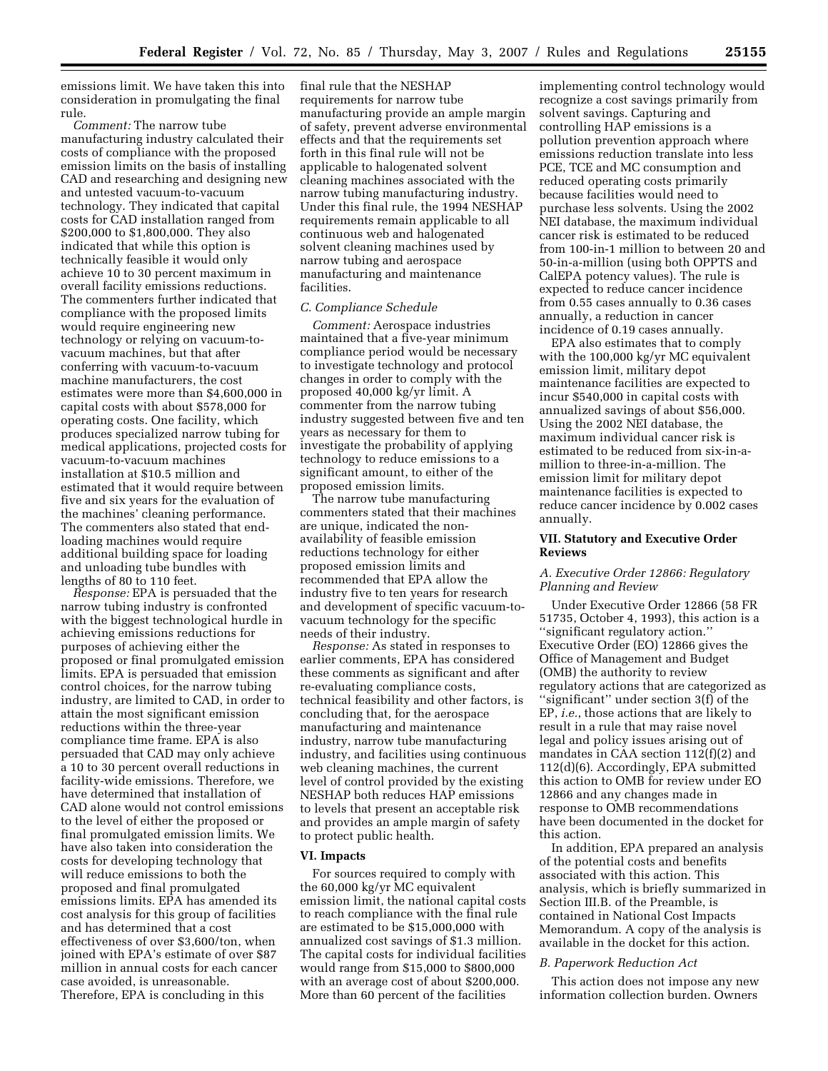emissions limit. We have taken this into consideration in promulgating the final rule.

*Comment:* The narrow tube manufacturing industry calculated their costs of compliance with the proposed emission limits on the basis of installing CAD and researching and designing new and untested vacuum-to-vacuum technology. They indicated that capital costs for CAD installation ranged from \$200,000 to \$1,800,000. They also indicated that while this option is technically feasible it would only achieve 10 to 30 percent maximum in overall facility emissions reductions. The commenters further indicated that compliance with the proposed limits would require engineering new technology or relying on vacuum-tovacuum machines, but that after conferring with vacuum-to-vacuum machine manufacturers, the cost estimates were more than \$4,600,000 in capital costs with about \$578,000 for operating costs. One facility, which produces specialized narrow tubing for medical applications, projected costs for vacuum-to-vacuum machines installation at \$10.5 million and estimated that it would require between five and six years for the evaluation of the machines' cleaning performance. The commenters also stated that endloading machines would require additional building space for loading and unloading tube bundles with lengths of 80 to 110 feet.

*Response:* EPA is persuaded that the narrow tubing industry is confronted with the biggest technological hurdle in achieving emissions reductions for purposes of achieving either the proposed or final promulgated emission limits. EPA is persuaded that emission control choices, for the narrow tubing industry, are limited to CAD, in order to attain the most significant emission reductions within the three-year compliance time frame. EPA is also persuaded that CAD may only achieve a 10 to 30 percent overall reductions in facility-wide emissions. Therefore, we have determined that installation of CAD alone would not control emissions to the level of either the proposed or final promulgated emission limits. We have also taken into consideration the costs for developing technology that will reduce emissions to both the proposed and final promulgated emissions limits. EPA has amended its cost analysis for this group of facilities and has determined that a cost effectiveness of over \$3,600/ton, when joined with EPA's estimate of over \$87 million in annual costs for each cancer case avoided, is unreasonable. Therefore, EPA is concluding in this

final rule that the NESHAP requirements for narrow tube manufacturing provide an ample margin of safety, prevent adverse environmental effects and that the requirements set forth in this final rule will not be applicable to halogenated solvent cleaning machines associated with the narrow tubing manufacturing industry. Under this final rule, the 1994 NESHAP requirements remain applicable to all continuous web and halogenated solvent cleaning machines used by narrow tubing and aerospace manufacturing and maintenance facilities.

#### *C. Compliance Schedule*

*Comment:* Aerospace industries maintained that a five-year minimum compliance period would be necessary to investigate technology and protocol changes in order to comply with the proposed 40,000 kg/yr limit. A commenter from the narrow tubing industry suggested between five and ten years as necessary for them to investigate the probability of applying technology to reduce emissions to a significant amount, to either of the proposed emission limits.

The narrow tube manufacturing commenters stated that their machines are unique, indicated the nonavailability of feasible emission reductions technology for either proposed emission limits and recommended that EPA allow the industry five to ten years for research and development of specific vacuum-tovacuum technology for the specific needs of their industry.

*Response:* As stated in responses to earlier comments, EPA has considered these comments as significant and after re-evaluating compliance costs, technical feasibility and other factors, is concluding that, for the aerospace manufacturing and maintenance industry, narrow tube manufacturing industry, and facilities using continuous web cleaning machines, the current level of control provided by the existing NESHAP both reduces HAP emissions to levels that present an acceptable risk and provides an ample margin of safety to protect public health.

#### **VI. Impacts**

For sources required to comply with the 60,000 kg/yr MC equivalent emission limit, the national capital costs to reach compliance with the final rule are estimated to be \$15,000,000 with annualized cost savings of \$1.3 million. The capital costs for individual facilities would range from \$15,000 to \$800,000 with an average cost of about \$200,000. More than 60 percent of the facilities

implementing control technology would recognize a cost savings primarily from solvent savings. Capturing and controlling HAP emissions is a pollution prevention approach where emissions reduction translate into less PCE, TCE and MC consumption and reduced operating costs primarily because facilities would need to purchase less solvents. Using the 2002 NEI database, the maximum individual cancer risk is estimated to be reduced from 100-in-1 million to between 20 and 50-in-a-million (using both OPPTS and CalEPA potency values). The rule is expected to reduce cancer incidence from 0.55 cases annually to 0.36 cases annually, a reduction in cancer incidence of 0.19 cases annually.

EPA also estimates that to comply with the 100,000 kg/yr MC equivalent emission limit, military depot maintenance facilities are expected to incur \$540,000 in capital costs with annualized savings of about \$56,000. Using the 2002 NEI database, the maximum individual cancer risk is estimated to be reduced from six-in-amillion to three-in-a-million. The emission limit for military depot maintenance facilities is expected to reduce cancer incidence by 0.002 cases annually.

### **VII. Statutory and Executive Order Reviews**

### *A. Executive Order 12866: Regulatory Planning and Review*

Under Executive Order 12866 (58 FR 51735, October 4, 1993), this action is a ''significant regulatory action.'' Executive Order (EO) 12866 gives the Office of Management and Budget (OMB) the authority to review regulatory actions that are categorized as ''significant'' under section 3(f) of the EP, *i.e.*, those actions that are likely to result in a rule that may raise novel legal and policy issues arising out of mandates in CAA section 112(f)(2) and 112(d)(6). Accordingly, EPA submitted this action to OMB for review under EO 12866 and any changes made in response to OMB recommendations have been documented in the docket for this action.

In addition, EPA prepared an analysis of the potential costs and benefits associated with this action. This analysis, which is briefly summarized in Section III.B. of the Preamble, is contained in National Cost Impacts Memorandum. A copy of the analysis is available in the docket for this action.

#### *B. Paperwork Reduction Act*

This action does not impose any new information collection burden. Owners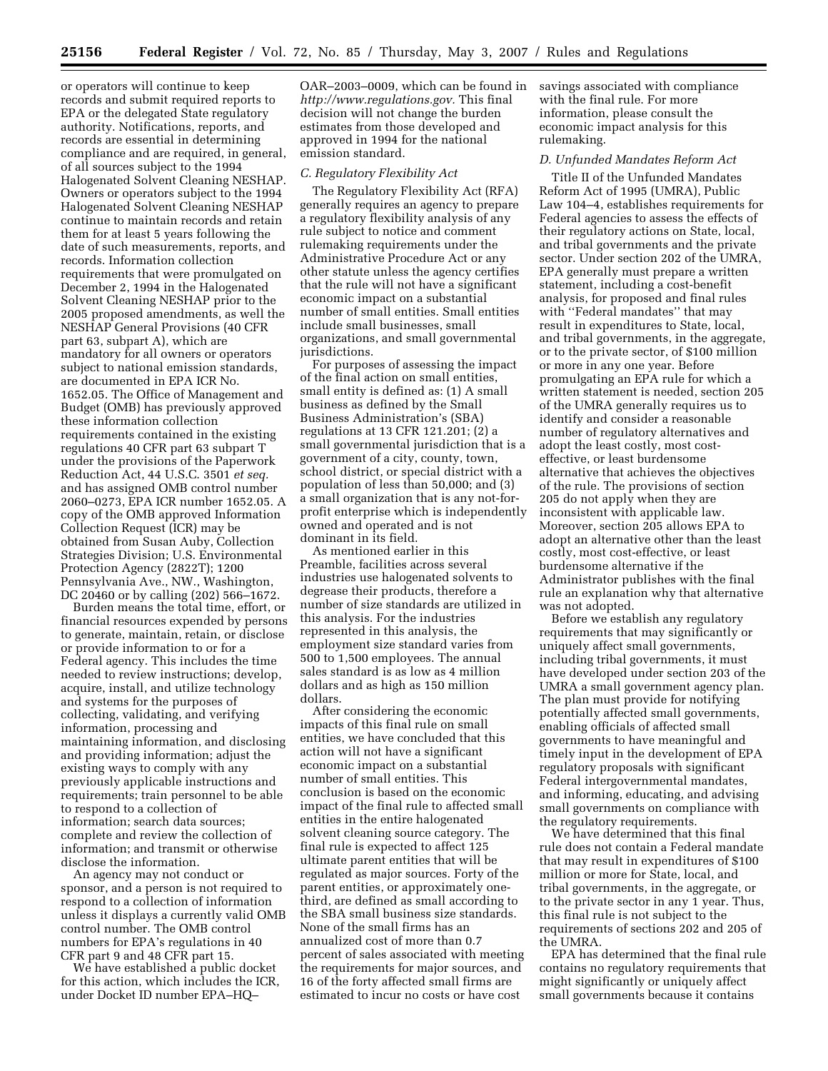or operators will continue to keep records and submit required reports to EPA or the delegated State regulatory authority. Notifications, reports, and records are essential in determining compliance and are required, in general, of all sources subject to the 1994 Halogenated Solvent Cleaning NESHAP. Owners or operators subject to the 1994 Halogenated Solvent Cleaning NESHAP continue to maintain records and retain them for at least 5 years following the date of such measurements, reports, and records. Information collection requirements that were promulgated on December 2, 1994 in the Halogenated Solvent Cleaning NESHAP prior to the 2005 proposed amendments, as well the NESHAP General Provisions (40 CFR part 63, subpart A), which are mandatory for all owners or operators subject to national emission standards, are documented in EPA ICR No. 1652.05. The Office of Management and Budget (OMB) has previously approved these information collection requirements contained in the existing regulations 40 CFR part 63 subpart T under the provisions of the Paperwork Reduction Act, 44 U.S.C. 3501 *et seq.*  and has assigned OMB control number 2060–0273, EPA ICR number 1652.05. A copy of the OMB approved Information Collection Request (ICR) may be obtained from Susan Auby, Collection Strategies Division; U.S. Environmental Protection Agency (2822T); 1200 Pennsylvania Ave., NW., Washington, DC 20460 or by calling (202) 566–1672.

Burden means the total time, effort, or financial resources expended by persons to generate, maintain, retain, or disclose or provide information to or for a Federal agency. This includes the time needed to review instructions; develop, acquire, install, and utilize technology and systems for the purposes of collecting, validating, and verifying information, processing and maintaining information, and disclosing and providing information; adjust the existing ways to comply with any previously applicable instructions and requirements; train personnel to be able to respond to a collection of information; search data sources; complete and review the collection of information; and transmit or otherwise disclose the information.

An agency may not conduct or sponsor, and a person is not required to respond to a collection of information unless it displays a currently valid OMB control number. The OMB control numbers for EPA's regulations in 40 CFR part 9 and 48 CFR part 15.

We have established a public docket for this action, which includes the ICR, under Docket ID number EPA–HQ–

OAR–2003–0009, which can be found in *http://www.regulations.gov.* This final decision will not change the burden estimates from those developed and approved in 1994 for the national emission standard.

#### *C. Regulatory Flexibility Act*

The Regulatory Flexibility Act (RFA) generally requires an agency to prepare a regulatory flexibility analysis of any rule subject to notice and comment rulemaking requirements under the Administrative Procedure Act or any other statute unless the agency certifies that the rule will not have a significant economic impact on a substantial number of small entities. Small entities include small businesses, small organizations, and small governmental jurisdictions.

For purposes of assessing the impact of the final action on small entities, small entity is defined as: (1) A small business as defined by the Small Business Administration's (SBA) regulations at 13 CFR 121.201; (2) a small governmental jurisdiction that is a government of a city, county, town, school district, or special district with a population of less than 50,000; and (3) a small organization that is any not-forprofit enterprise which is independently owned and operated and is not dominant in its field.

As mentioned earlier in this Preamble, facilities across several industries use halogenated solvents to degrease their products, therefore a number of size standards are utilized in this analysis. For the industries represented in this analysis, the employment size standard varies from 500 to 1,500 employees. The annual sales standard is as low as 4 million dollars and as high as 150 million dollars.

After considering the economic impacts of this final rule on small entities, we have concluded that this action will not have a significant economic impact on a substantial number of small entities. This conclusion is based on the economic impact of the final rule to affected small entities in the entire halogenated solvent cleaning source category. The final rule is expected to affect 125 ultimate parent entities that will be regulated as major sources. Forty of the parent entities, or approximately onethird, are defined as small according to the SBA small business size standards. None of the small firms has an annualized cost of more than 0.7 percent of sales associated with meeting the requirements for major sources, and 16 of the forty affected small firms are estimated to incur no costs or have cost

savings associated with compliance with the final rule. For more information, please consult the economic impact analysis for this rulemaking.

### *D. Unfunded Mandates Reform Act*

Title II of the Unfunded Mandates Reform Act of 1995 (UMRA), Public Law 104–4, establishes requirements for Federal agencies to assess the effects of their regulatory actions on State, local, and tribal governments and the private sector. Under section 202 of the UMRA, EPA generally must prepare a written statement, including a cost-benefit analysis, for proposed and final rules with ''Federal mandates'' that may result in expenditures to State, local, and tribal governments, in the aggregate, or to the private sector, of \$100 million or more in any one year. Before promulgating an EPA rule for which a written statement is needed, section 205 of the UMRA generally requires us to identify and consider a reasonable number of regulatory alternatives and adopt the least costly, most costeffective, or least burdensome alternative that achieves the objectives of the rule. The provisions of section 205 do not apply when they are inconsistent with applicable law. Moreover, section 205 allows EPA to adopt an alternative other than the least costly, most cost-effective, or least burdensome alternative if the Administrator publishes with the final rule an explanation why that alternative was not adopted.

Before we establish any regulatory requirements that may significantly or uniquely affect small governments, including tribal governments, it must have developed under section 203 of the UMRA a small government agency plan. The plan must provide for notifying potentially affected small governments, enabling officials of affected small governments to have meaningful and timely input in the development of EPA regulatory proposals with significant Federal intergovernmental mandates, and informing, educating, and advising small governments on compliance with the regulatory requirements.

We have determined that this final rule does not contain a Federal mandate that may result in expenditures of \$100 million or more for State, local, and tribal governments, in the aggregate, or to the private sector in any 1 year. Thus, this final rule is not subject to the requirements of sections 202 and 205 of the UMRA.

EPA has determined that the final rule contains no regulatory requirements that might significantly or uniquely affect small governments because it contains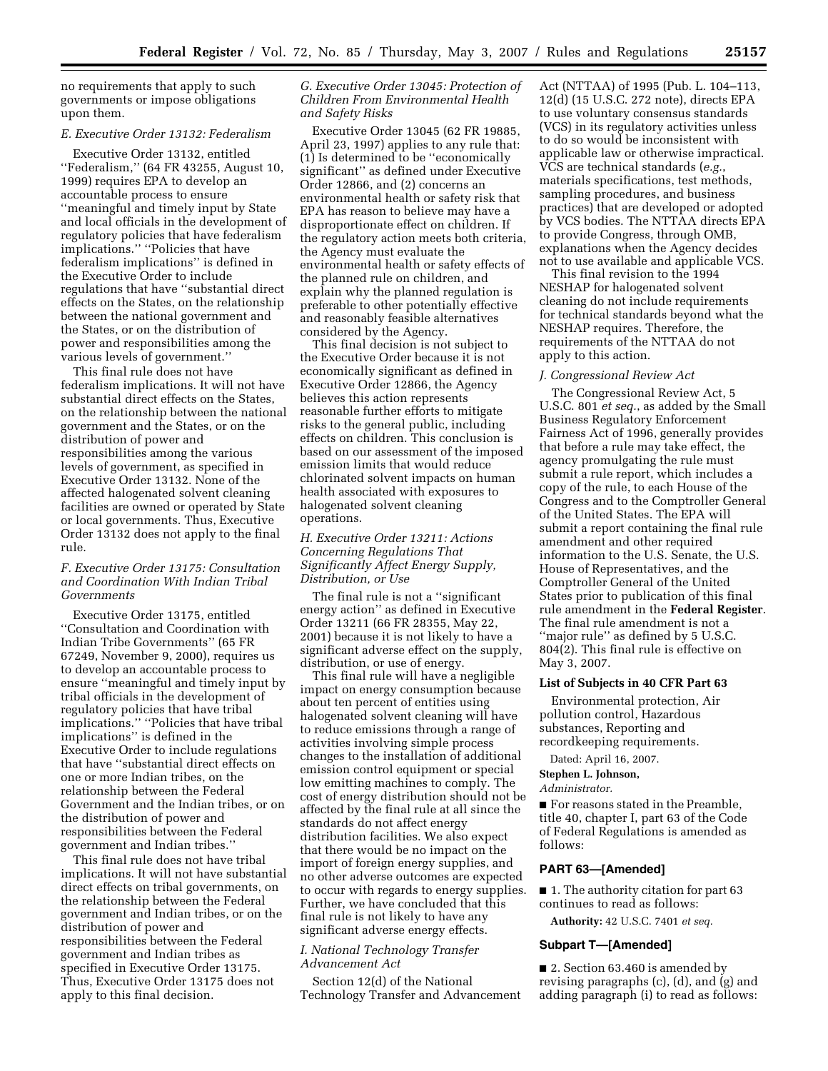no requirements that apply to such governments or impose obligations upon them.

#### *E. Executive Order 13132: Federalism*

Executive Order 13132, entitled ''Federalism,'' (64 FR 43255, August 10, 1999) requires EPA to develop an accountable process to ensure ''meaningful and timely input by State and local officials in the development of regulatory policies that have federalism implications.'' ''Policies that have federalism implications'' is defined in the Executive Order to include regulations that have ''substantial direct effects on the States, on the relationship between the national government and the States, or on the distribution of power and responsibilities among the various levels of government.''

This final rule does not have federalism implications. It will not have substantial direct effects on the States, on the relationship between the national government and the States, or on the distribution of power and responsibilities among the various levels of government, as specified in Executive Order 13132. None of the affected halogenated solvent cleaning facilities are owned or operated by State or local governments. Thus, Executive Order 13132 does not apply to the final rule.

### *F. Executive Order 13175: Consultation and Coordination With Indian Tribal Governments*

Executive Order 13175, entitled ''Consultation and Coordination with Indian Tribe Governments'' (65 FR 67249, November 9, 2000), requires us to develop an accountable process to ensure ''meaningful and timely input by tribal officials in the development of regulatory policies that have tribal implications.'' ''Policies that have tribal implications'' is defined in the Executive Order to include regulations that have ''substantial direct effects on one or more Indian tribes, on the relationship between the Federal Government and the Indian tribes, or on the distribution of power and responsibilities between the Federal government and Indian tribes.''

This final rule does not have tribal implications. It will not have substantial direct effects on tribal governments, on the relationship between the Federal government and Indian tribes, or on the distribution of power and responsibilities between the Federal government and Indian tribes as specified in Executive Order 13175. Thus, Executive Order 13175 does not apply to this final decision.

### *G. Executive Order 13045: Protection of Children From Environmental Health and Safety Risks*

Executive Order 13045 (62 FR 19885, April 23, 1997) applies to any rule that: (1) Is determined to be ''economically significant'' as defined under Executive Order 12866, and (2) concerns an environmental health or safety risk that EPA has reason to believe may have a disproportionate effect on children. If the regulatory action meets both criteria, the Agency must evaluate the environmental health or safety effects of the planned rule on children, and explain why the planned regulation is preferable to other potentially effective and reasonably feasible alternatives considered by the Agency.

This final decision is not subject to the Executive Order because it is not economically significant as defined in Executive Order 12866, the Agency believes this action represents reasonable further efforts to mitigate risks to the general public, including effects on children. This conclusion is based on our assessment of the imposed emission limits that would reduce chlorinated solvent impacts on human health associated with exposures to halogenated solvent cleaning operations.

### *H. Executive Order 13211: Actions Concerning Regulations That Significantly Affect Energy Supply, Distribution, or Use*

The final rule is not a ''significant energy action'' as defined in Executive Order 13211 (66 FR 28355, May 22, 2001) because it is not likely to have a significant adverse effect on the supply, distribution, or use of energy.

This final rule will have a negligible impact on energy consumption because about ten percent of entities using halogenated solvent cleaning will have to reduce emissions through a range of activities involving simple process changes to the installation of additional emission control equipment or special low emitting machines to comply. The cost of energy distribution should not be affected by the final rule at all since the standards do not affect energy distribution facilities. We also expect that there would be no impact on the import of foreign energy supplies, and no other adverse outcomes are expected to occur with regards to energy supplies. Further, we have concluded that this final rule is not likely to have any significant adverse energy effects.

## *I. National Technology Transfer Advancement Act*

Section 12(d) of the National Technology Transfer and Advancement

Act (NTTAA) of 1995 (Pub. L. 104–113, 12(d) (15 U.S.C. 272 note), directs EPA to use voluntary consensus standards (VCS) in its regulatory activities unless to do so would be inconsistent with applicable law or otherwise impractical. VCS are technical standards (*e.g.*, materials specifications, test methods, sampling procedures, and business practices) that are developed or adopted by VCS bodies. The NTTAA directs EPA to provide Congress, through OMB, explanations when the Agency decides not to use available and applicable VCS.

This final revision to the 1994 NESHAP for halogenated solvent cleaning do not include requirements for technical standards beyond what the NESHAP requires. Therefore, the requirements of the NTTAA do not apply to this action.

#### *J. Congressional Review Act*

The Congressional Review Act, 5 U.S.C. 801 *et seq.*, as added by the Small Business Regulatory Enforcement Fairness Act of 1996, generally provides that before a rule may take effect, the agency promulgating the rule must submit a rule report, which includes a copy of the rule, to each House of the Congress and to the Comptroller General of the United States. The EPA will submit a report containing the final rule amendment and other required information to the U.S. Senate, the U.S. House of Representatives, and the Comptroller General of the United States prior to publication of this final rule amendment in the **Federal Register**. The final rule amendment is not a ''major rule'' as defined by 5 U.S.C. 804(2). This final rule is effective on May 3, 2007.

#### **List of Subjects in 40 CFR Part 63**

Environmental protection, Air pollution control, Hazardous substances, Reporting and recordkeeping requirements.

Dated: April 16, 2007.

# **Stephen L. Johnson,**

*Administrator.* 

■ For reasons stated in the Preamble, title 40, chapter I, part 63 of the Code of Federal Regulations is amended as follows:

### **PART 63—[Amended]**

■ 1. The authority citation for part 63 continues to read as follows:

**Authority:** 42 U.S.C. 7401 *et seq.* 

#### **Subpart T—[Amended]**

■ 2. Section 63.460 is amended by revising paragraphs (c), (d), and (g) and adding paragraph (i) to read as follows: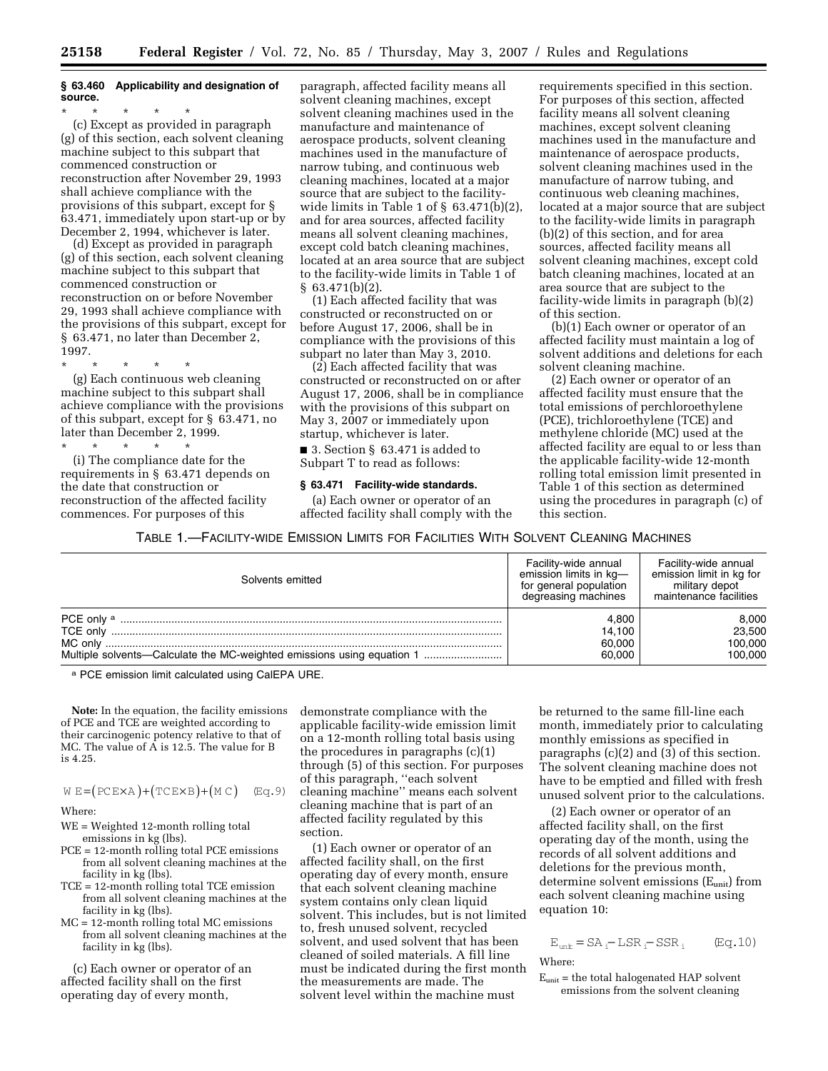### **§ 63.460 Applicability and designation of source.**

\* \* \* \* \* (c) Except as provided in paragraph (g) of this section, each solvent cleaning machine subject to this subpart that commenced construction or reconstruction after November 29, 1993 shall achieve compliance with the provisions of this subpart, except for § 63.471, immediately upon start-up or by December 2, 1994, whichever is later.

(d) Except as provided in paragraph (g) of this section, each solvent cleaning machine subject to this subpart that commenced construction or reconstruction on or before November 29, 1993 shall achieve compliance with the provisions of this subpart, except for § 63.471, no later than December 2, 1997.

\* \* \* \* \* (g) Each continuous web cleaning machine subject to this subpart shall achieve compliance with the provisions of this subpart, except for § 63.471, no later than December 2, 1999.

\* \* \* \* \* (i) The compliance date for the requirements in § 63.471 depends on the date that construction or reconstruction of the affected facility commences. For purposes of this

paragraph, affected facility means all solvent cleaning machines, except solvent cleaning machines used in the manufacture and maintenance of aerospace products, solvent cleaning machines used in the manufacture of narrow tubing, and continuous web cleaning machines, located at a major source that are subject to the facilitywide limits in Table 1 of  $\S$  63.471(b)(2), and for area sources, affected facility means all solvent cleaning machines, except cold batch cleaning machines, located at an area source that are subject to the facility-wide limits in Table 1 of  $§ 63.471(b)(2).$ 

(1) Each affected facility that was constructed or reconstructed on or before August 17, 2006, shall be in compliance with the provisions of this subpart no later than May 3, 2010.

(2) Each affected facility that was constructed or reconstructed on or after August 17, 2006, shall be in compliance with the provisions of this subpart on May 3, 2007 or immediately upon startup, whichever is later.

■ 3. Section § 63.471 is added to Subpart T to read as follows:

#### **§ 63.471 Facility-wide standards.**

(a) Each owner or operator of an affected facility shall comply with the requirements specified in this section. For purposes of this section, affected facility means all solvent cleaning machines, except solvent cleaning machines used in the manufacture and maintenance of aerospace products, solvent cleaning machines used in the manufacture of narrow tubing, and continuous web cleaning machines, located at a major source that are subject to the facility-wide limits in paragraph (b)(2) of this section, and for area sources, affected facility means all solvent cleaning machines, except cold batch cleaning machines, located at an area source that are subject to the facility-wide limits in paragraph (b)(2) of this section.

(b)(1) Each owner or operator of an affected facility must maintain a log of solvent additions and deletions for each solvent cleaning machine.

(2) Each owner or operator of an affected facility must ensure that the total emissions of perchloroethylene (PCE), trichloroethylene (TCE) and methylene chloride (MC) used at the affected facility are equal to or less than the applicable facility-wide 12-month rolling total emission limit presented in Table 1 of this section as determined using the procedures in paragraph (c) of this section.

TABLE 1.—FACILITY-WIDE EMISSION LIMITS FOR FACILITIES WITH SOLVENT CLEANING MACHINES

| Solvents emitted                                                       | Facility-wide annual<br>emission limits in kg-<br>for general population<br>degreasing machines | Facility-wide annual<br>emission limit in kg for<br>military depot<br>maintenance facilities |
|------------------------------------------------------------------------|-------------------------------------------------------------------------------------------------|----------------------------------------------------------------------------------------------|
|                                                                        | 4.800                                                                                           | 8,000                                                                                        |
|                                                                        | 14.100                                                                                          | 23,500                                                                                       |
|                                                                        | 60.000                                                                                          | 100,000                                                                                      |
| Multiple solvents—Calculate the MC-weighted emissions using equation 1 | 60.000                                                                                          | 100,000                                                                                      |

a PCE emission limit calculated using CalEPA URE.

**Note:** In the equation, the facility emissions of PCE and TCE are weighted according to their carcinogenic potency relative to that of MC. The value of  $\overline{A}$  is 12.5. The value for B is 4.25.

#### $W E = (PCE \times A) + (TCE \times B) + (M C)$  (Eq.9)

Where:

- WE = Weighted 12-month rolling total emissions in kg (lbs).
- PCE = 12-month rolling total PCE emissions from all solvent cleaning machines at the facility in kg (lbs).
- TCE = 12-month rolling total TCE emission from all solvent cleaning machines at the facility in kg (lbs).
- MC = 12-month rolling total MC emissions from all solvent cleaning machines at the facility in kg (lbs).

(c) Each owner or operator of an affected facility shall on the first operating day of every month,

demonstrate compliance with the applicable facility-wide emission limit on a 12-month rolling total basis using the procedures in paragraphs (c)(1) through (5) of this section. For purposes of this paragraph, ''each solvent cleaning machine'' means each solvent cleaning machine that is part of an affected facility regulated by this section.

(1) Each owner or operator of an affected facility shall, on the first operating day of every month, ensure that each solvent cleaning machine system contains only clean liquid solvent. This includes, but is not limited to, fresh unused solvent, recycled solvent, and used solvent that has been cleaned of soiled materials. A fill line must be indicated during the first month the measurements are made. The solvent level within the machine must

be returned to the same fill-line each month, immediately prior to calculating monthly emissions as specified in paragraphs (c)(2) and (3) of this section. The solvent cleaning machine does not have to be emptied and filled with fresh unused solvent prior to the calculations.

(2) Each owner or operator of an affected facility shall, on the first operating day of the month, using the records of all solvent additions and deletions for the previous month, determine solvent emissions (Eunit) from each solvent cleaning machine using equation 10:

$$
E_{unit} = SA_i - LSR_i - SSR_i
$$
 (Eq. 10)  
Where:

 $E<sub>unit</sub>$  = the total halogenated HAP solvent emissions from the solvent cleaning